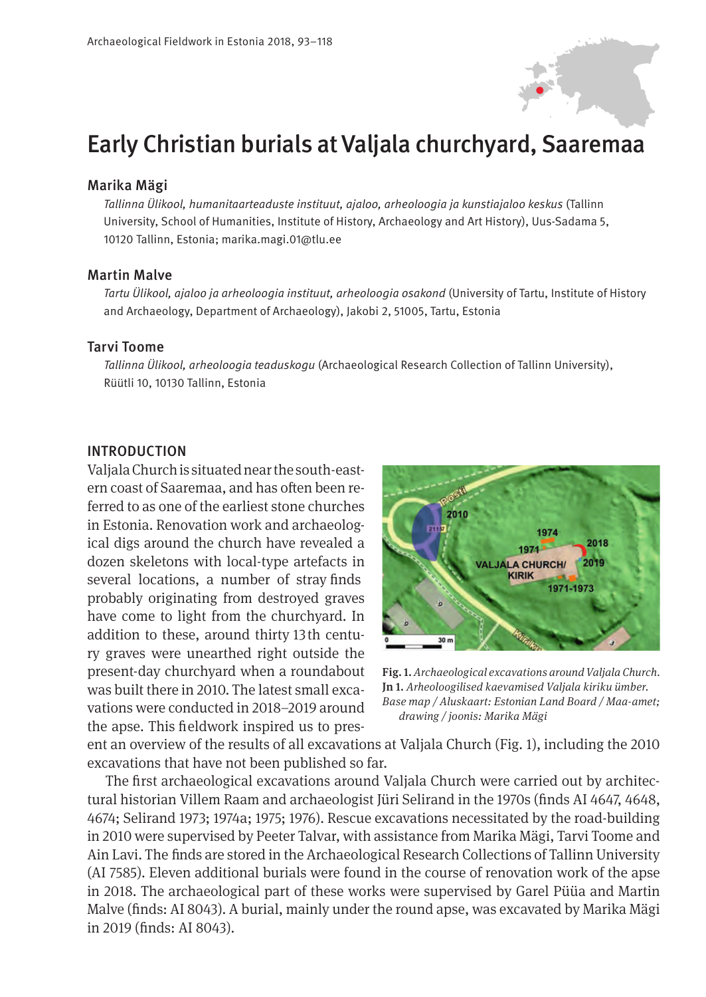

# Early Christian burials at Valjala churchyard, Saaremaa

#### Marika Mägi

*Tallinna Ülikool, humanitaarteaduste instituut, ajaloo, arheoloogia ja kunstiajaloo keskus* (Tallinn University, School of Humanities, Institute of History, Archaeology and Art History), Uus-Sadama 5, 10120 Tallinn, Estonia; marika.magi.01@tlu.ee

#### Martin Malve

*Tartu Ülikool, ajaloo ja arheoloogia instituut, arheoloogia osakond* (University of Tartu, Institute of History and Archaeology, Department of Archaeology), Jakobi 2, 51005, Tartu, Estonia

#### Tarvi Toome

*Tallinna Ülikool, arheoloogia teaduskogu* (Archaeological Research Collection of Tallinn University), Rüütli 10, 10130 Tallinn, Estonia

#### INTRODUCTION

Valjala Church is situated near the south-eastern coast of Saaremaa, and has often been referred to as one of the earliest stone churches in Estonia. Renovation work and archaeological digs around the church have revealed a dozen skeletons with local-type artefacts in several locations, a number of stray fnds probably originating from destroyed graves have come to light from the churchyard. In addition to these, around thirty 13th century graves were unearthed right outside the present-day churchyard when a roundabout was built there in 2010. The latest small excavations were conducted in 2018–2019 around the apse. This feldwork inspired us to pres-



Fig. 1. *Archaeological excavations around Valjala Church.*  Jn 1. *Arheoloogilised kaevamised Valjala kiriku ümber. Base map / Aluskaart: Estonian Land Board / Maa-amet; drawing / joonis: Marika Mägi*

ent an overview of the results of all excavations at Valjala Church (Fig. 1), including the 2010 excavations that have not been published so far.

The frst archaeological excavations around Valjala Church were carried out by architectural historian Villem Raam and archaeologist Jüri Selirand in the 1970s (fnds AI 4647, 4648, 4674; Selirand 1973; 1974a; 1975; 1976). Rescue excavations necessitated by the road-building in 2010 were supervised by Peeter Talvar, with assistance from Marika Mägi, Tarvi Toome and Ain Lavi. The fnds are stored in the Archaeological Research Collections of Tallinn University (AI 7585). Eleven additional burials were found in the course of renovation work of the apse in 2018. The archaeological part of these works were supervised by Garel Püüa and Martin Malve (fnds: AI 8043). A burial, mainly under the round apse, was excavated by Marika Mägi in 2019 (fnds: AI 8043).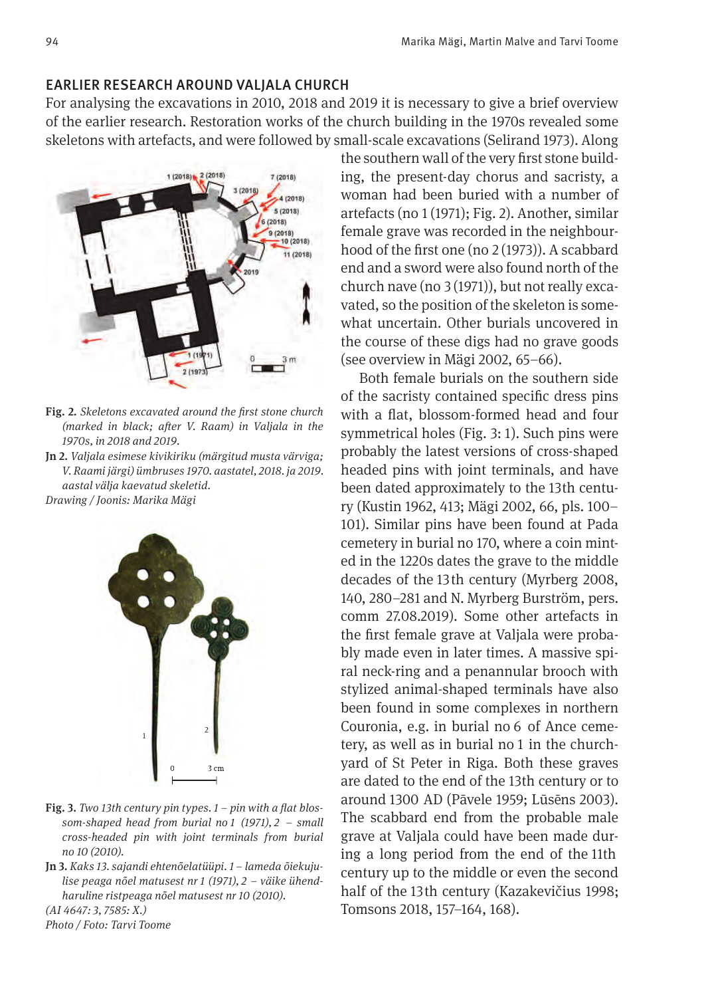## EARLIER RESEARCH AROUND VALJALA CHURCH

For analysing the excavations in 2010, 2018 and 2019 it is necessary to give a brief overview of the earlier research. Restoration works of the church building in the 1970s revealed some skeletons with artefacts, and were followed by small-scale excavations (Selirand 1973). Along



- Fig. 2. *Skeletons excavated around the f rst stone church (marked in black; after V. Raam) in Valjala in the 1970s, in 2018 and 2019.*
- Jn 2. *Valjala esimese kivikiriku (märgitud musta värviga; V. Raami järgi) ümbruses 1970. aastatel, 2018. ja 2019. aastal välja kaevatud skeletid.*

*Drawing / Joonis: Marika Mägi*



- Fig. 3. Two 13th century pin types.  $1 p$  in with a flat blos*som-shaped head from burial no 1 (1971), 2 – small cross-headed pin with joint terminals from burial no 10 (2010).*
- Jn 3. *Kaks 13. sajandi ehtenõelatüüpi. 1 lameda õiekujulise peaga nõel matusest nr 1 (1971), 2 – väike ühendharuline ristpeaga nõel matusest nr 10 (2010).*

*(AI 4647: 3, 7585: X.)*

*Photo / Foto: Tarvi Toome*

the southern wall of the very first stone building, the present-day chorus and sacristy, a woman had been buried with a number of artefacts (no 1 (1971); Fig. 2). Another, similar female grave was recorded in the neighbourhood of the first one (no  $2(1973)$ ). A scabbard end and a sword were also found north of the church nave (no 3 (1971)), but not really excavated, so the position of the skeleton is somewhat uncertain. Other burials uncovered in the course of these digs had no grave goods (see overview in Mägi 2002, 65–66).

Both female burials on the southern side of the sacristy contained specific dress pins with a flat, blossom-formed head and four symmetrical holes (Fig. 3: 1). Such pins were probably the latest versions of cross-shaped headed pins with joint terminals, and have been dated approximately to the 13th century (Kustin 1962, 413; Mägi 2002, 66, pls. 100– 101). Similar pins have been found at Pada cemetery in burial no 170, where a coin minted in the 1220s dates the grave to the middle decades of the 13th century (Myrberg 2008, 140, 280–281 and N. Myrberg Burström, pers. comm 27.08.2019). Some other artefacts in the first female grave at Valjala were probably made even in later times. A massive spiral neck-ring and a penannular brooch with stylized animal-shaped terminals have also been found in some complexes in northern Couronia, e.g. in burial no 6 of Ance cemetery, as well as in burial no 1 in the churchyard of St Peter in Riga. Both these graves are dated to the end of the 13th century or to around 1300 AD (Pāvele 1959; Lūsēns 2003). The scabbard end from the probable male grave at Valjala could have been made during a long period from the end of the 11th century up to the middle or even the second half of the 13th century (Kazakevičius 1998; Tomsons 2018, 157–164, 168).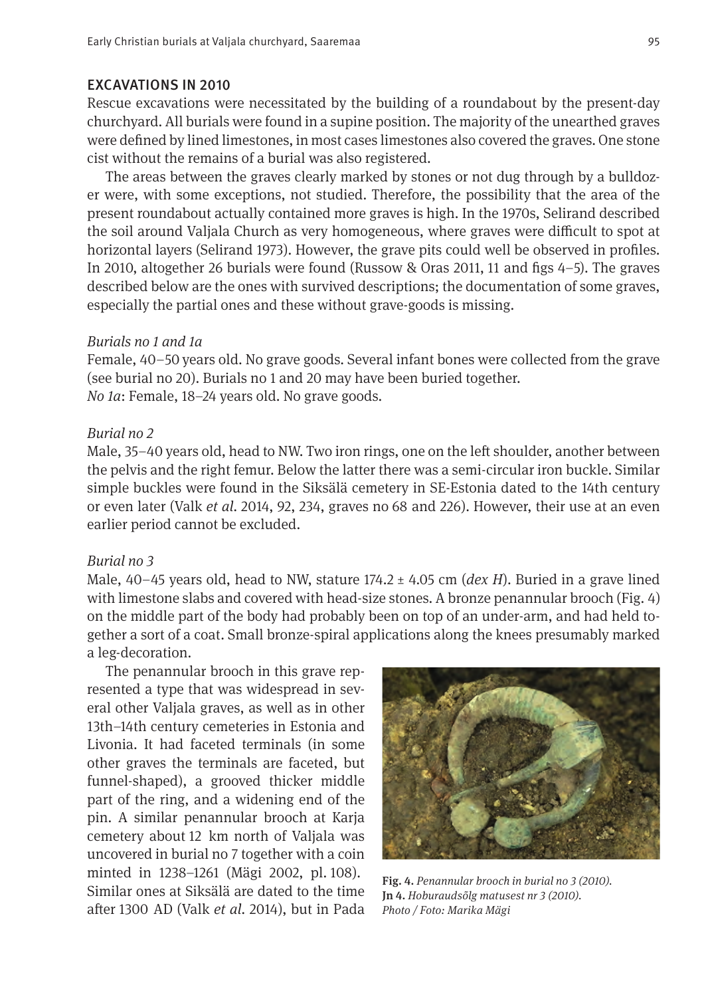#### EXCAVATIONS IN 2010

Rescue excavations were necessitated by the building of a roundabout by the present-day churchyard. All burials were found in a supine position. The majority of the unearthed graves were defned by lined limestones, in most cases limestones also covered the graves. One stone cist without the remains of a burial was also registered.

The areas between the graves clearly marked by stones or not dug through by a bulldozer were, with some exceptions, not studied. Therefore, the possibility that the area of the present roundabout actually contained more graves is high. In the 1970s, Selirand described the soil around Valjala Church as very homogeneous, where graves were difcult to spot at horizontal layers (Selirand 1973). However, the grave pits could well be observed in profles. In 2010, altogether 26 burials were found (Russow & Oras 2011, 11 and fgs 4–5). The graves described below are the ones with survived descriptions; the documentation of some graves, especially the partial ones and these without grave-goods is missing.

#### *Burials no 1 and 1a*

Female, 40–50 years old. No grave goods. Several infant bones were collected from the grave (see burial no 20). Burials no 1 and 20 may have been buried together. *No 1a*: Female, 18–24 years old. No grave goods.

#### *Burial no 2*

Male, 35–40 years old, head to NW. Two iron rings, one on the left shoulder, another between the pelvis and the right femur. Below the latter there was a semi-circular iron buckle. Similar simple buckles were found in the Siksälä cemetery in SE-Estonia dated to the 14th century or even later (Valk *et al.* 2014, 92, 234, graves no 68 and 226). However, their use at an even earlier period cannot be excluded.

#### *Burial no 3*

Male, 40–45 years old, head to NW, stature 174.2 ± 4.05 cm (*dex H*). Buried in a grave lined with limestone slabs and covered with head-size stones. A bronze penannular brooch (Fig. 4) on the middle part of the body had probably been on top of an under-arm, and had held together a sort of a coat. Small bronze-spiral applications along the knees presumably marked a leg-decoration.

The penannular brooch in this grave represented a type that was widespread in several other Valjala graves, as well as in other 13th–14th century cemeteries in Estonia and Livonia. It had faceted terminals (in some other graves the terminals are faceted, but funnel-shaped), a grooved thicker middle part of the ring, and a widening end of the pin. A similar penannular brooch at Karja cemetery about 12 km north of Valjala was uncovered in burial no 7 together with a coin minted in 1238–1261 (Mägi 2002, pl. 108). Similar ones at Siksälä are dated to the time afer 1300 AD (Valk *et al.* 2014), but in Pada



Fig. 4. *Penannular brooch in burial no 3 (2010).* Jn 4. *Hoburaudsõlg matusest nr 3 (2010). Photo / Foto: Marika Mägi*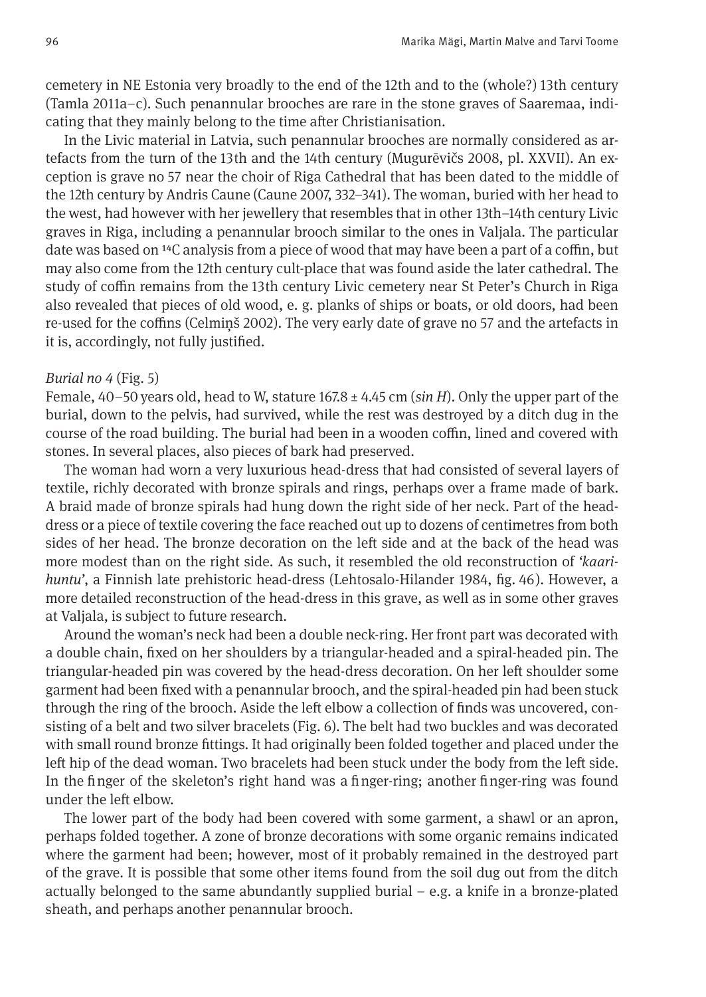cemetery in NE Estonia very broadly to the end of the 12th and to the (whole?) 13th century (Tamla 2011a–c). Such penannular brooches are rare in the stone graves of Saaremaa, indicating that they mainly belong to the time after Christianisation.

In the Livic material in Latvia, such penannular brooches are normally considered as artefacts from the turn of the 13th and the 14th century (Mugurēvičs 2008, pl. XXVII). An exception is grave no 57 near the choir of Riga Cathedral that has been dated to the middle of the 12th century by Andris Caune (Caune 2007, 332–341). The woman, buried with her head to the west, had however with her jewellery that resembles that in other 13th–14th century Livic graves in Riga, including a penannular brooch similar to the ones in Valjala. The particular date was based on  $^{14}C$  analysis from a piece of wood that may have been a part of a coffin, but may also come from the 12th century cult-place that was found aside the later cathedral. The study of coffin remains from the 13th century Livic cemetery near St Peter's Church in Riga also revealed that pieces of old wood, e. g. planks of ships or boats, or old doors, had been re-used for the cofns (Celmiņš 2002). The very early date of grave no 57 and the artefacts in it is, accordingly, not fully justifed.

#### *Burial no 4* (Fig. 5)

Female, 40–50 years old, head to W, stature 167.8 ± 4.45 cm (*sin H*). Only the upper part of the burial, down to the pelvis, had survived, while the rest was destroyed by a ditch dug in the course of the road building. The burial had been in a wooden coffin, lined and covered with stones. In several places, also pieces of bark had preserved.

The woman had worn a very luxurious head-dress that had consisted of several layers of textile, richly decorated with bronze spirals and rings, perhaps over a frame made of bark. A braid made of bronze spirals had hung down the right side of her neck. Part of the headdress or a piece of textile covering the face reached out up to dozens of centimetres from both sides of her head. The bronze decoration on the left side and at the back of the head was more modest than on the right side. As such, it resembled the old reconstruction of *'kaarihuntu'*, a Finnish late prehistoric head-dress (Lehtosalo-Hilander 1984, fg. 46). However, a more detailed reconstruction of the head-dress in this grave, as well as in some other graves at Valjala, is subject to future research.

Around the woman's neck had been a double neck-ring. Her front part was decorated with a double chain, fxed on her shoulders by a triangular-headed and a spiral-headed pin. The triangular-headed pin was covered by the head-dress decoration. On her left shoulder some garment had been fxed with a penannular brooch, and the spiral-headed pin had been stuck through the ring of the brooch. Aside the left elbow a collection of finds was uncovered, consisting of a belt and two silver bracelets (Fig. 6). The belt had two buckles and was decorated with small round bronze fttings. It had originally been folded together and placed under the left hip of the dead woman. Two bracelets had been stuck under the body from the left side. In the fnger of the skeleton's right hand was a fnger-ring; another fnger-ring was found under the left elbow.

The lower part of the body had been covered with some garment, a shawl or an apron, perhaps folded together. A zone of bronze decorations with some organic remains indicated where the garment had been; however, most of it probably remained in the destroyed part of the grave. It is possible that some other items found from the soil dug out from the ditch actually belonged to the same abundantly supplied burial  $-$  e.g. a knife in a bronze-plated sheath, and perhaps another penannular brooch.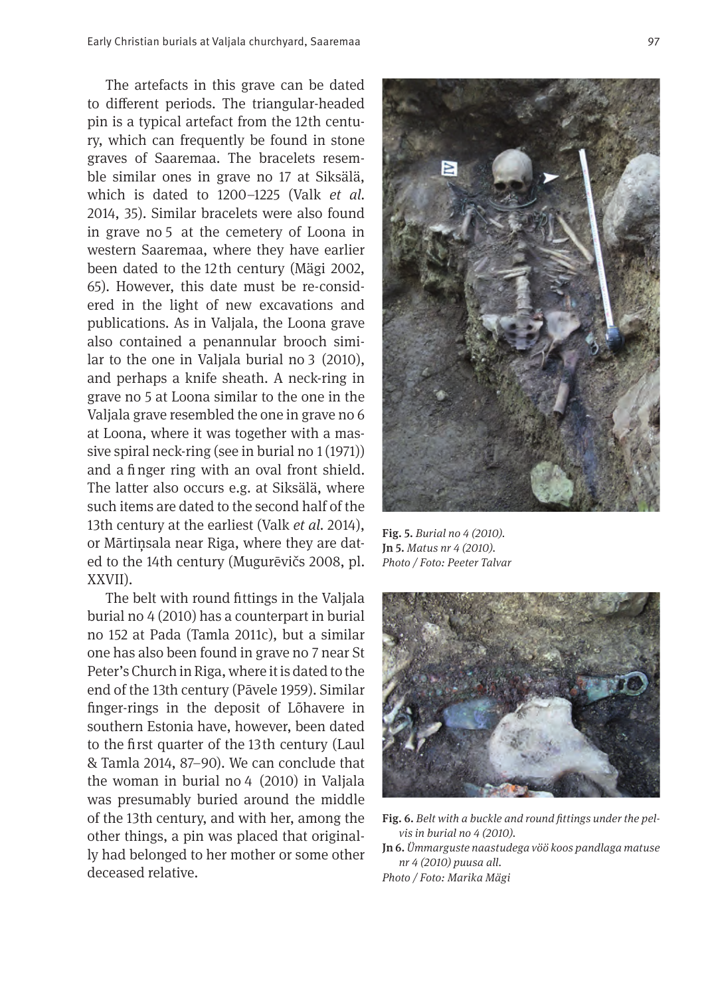The artefacts in this grave can be dated to diferent periods. The triangular-headed pin is a typical artefact from the 12th century, which can frequently be found in stone graves of Saaremaa. The bracelets resemble similar ones in grave no 17 at Siksälä, which is dated to 1200–1225 (Valk *et al.* 2014, 35). Similar bracelets were also found in grave no 5 at the cemetery of Loona in western Saaremaa, where they have earlier been dated to the 12 th century (Mägi 2002, 65). However, this date must be re-considered in the light of new excavations and publications. As in Valjala, the Loona grave also contained a penannular brooch similar to the one in Valjala burial no 3 (2010), and perhaps a knife sheath. A neck-ring in grave no 5 at Loona similar to the one in the Valjala grave resembled the one in grave no 6 at Loona, where it was together with a massive spiral neck-ring (see in burial no 1 (1971)) and a fnger ring with an oval front shield. The latter also occurs e.g. at Siksälä, where such items are dated to the second half of the 13th century at the earliest (Valk *et al.* 2014), or Mārtiņsala near Riga, where they are dated to the 14th century (Mugurēvičs 2008, pl. XXVII).

The belt with round fttings in the Valjala burial no 4 (2010) has a counterpart in burial no 152 at Pada (Tamla 2011c), but a similar one has also been found in grave no 7 near St Peter's Church in Riga, where it is dated to the end of the 13th century (Pāvele 1959). Similar fnger-rings in the deposit of Lõhavere in southern Estonia have, however, been dated to the frst quarter of the 13th century (Laul & Tamla 2014, 87–90). We can conclude that the woman in burial no 4 (2010) in Valjala was presumably buried around the middle of the 13th century, and with her, among the other things, a pin was placed that originally had belonged to her mother or some other deceased relative.



Fig. 5. *Burial no 4 (2010).*  Jn 5. *Matus nr 4 (2010). Photo / Foto: Peeter Talvar*



Fig. 6. *Belt with a buckle and round fttings under the pelvis in burial no 4 (2010).* 

Jn 6. *Ümmarguste naastudega vöö koos pandlaga matuse nr 4 (2010) puusa all.*

*Photo / Foto: Marika Mägi*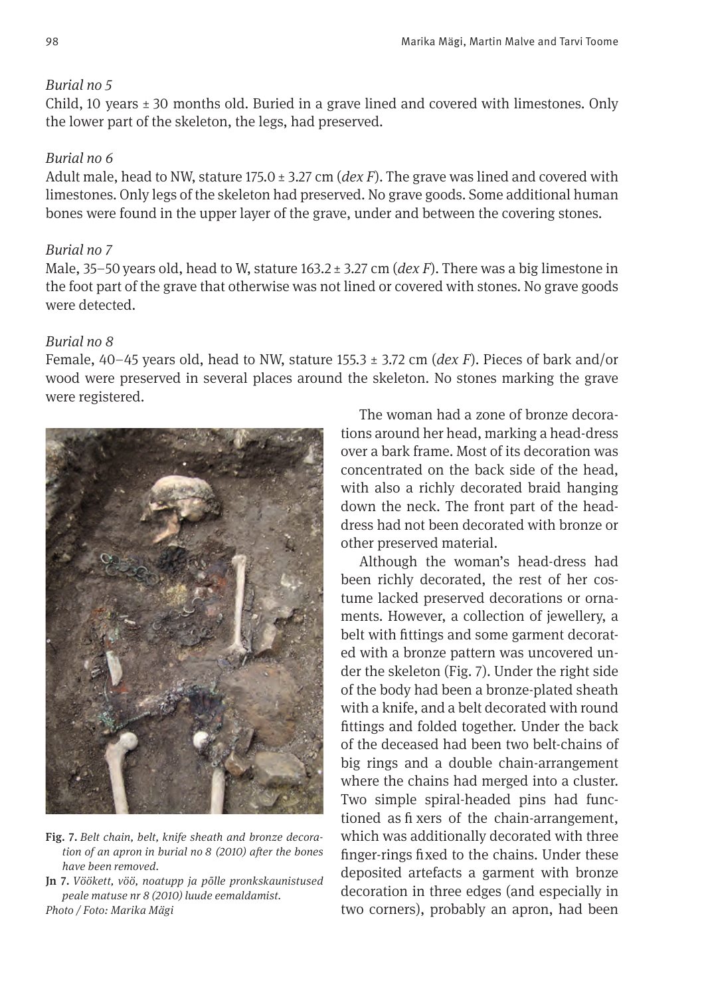## *Burial no 5*

Child, 10 years  $\pm$  30 months old. Buried in a grave lined and covered with limestones. Only the lower part of the skeleton, the legs, had preserved.

## *Burial no 6*

Adult male, head to NW, stature 175.0 ± 3.27 cm (*dex F*). The grave was lined and covered with limestones. Only legs of the skeleton had preserved. No grave goods. Some additional human bones were found in the upper layer of the grave, under and between the covering stones.

## *Burial no 7*

Male, 35–50 years old, head to W, stature 163.2 ± 3.27 cm (*dex F*). There was a big limestone in the foot part of the grave that otherwise was not lined or covered with stones. No grave goods were detected.

# *Burial no 8*

Female, 40–45 years old, head to NW, stature 155.3 ± 3.72 cm (*dex F*). Pieces of bark and/or wood were preserved in several places around the skeleton. No stones marking the grave were registered.



Fig. 7. *Belt chain, belt, knife sheath and bronze decoration of an apron in burial no 8 (2010) afer the bones have been removed.* 

Jn 7. *Vöökett, vöö, noatupp ja põlle pronkskaunistused peale matuse nr 8 (2010) luude eemaldamist. Photo / Foto: Marika Mägi*

The woman had a zone of bronze decorations around her head, marking a head-dress over a bark frame. Most of its decoration was concentrated on the back side of the head, with also a richly decorated braid hanging down the neck. The front part of the headdress had not been decorated with bronze or other preserved material.

Although the woman's head-dress had been richly decorated, the rest of her costume lacked preserved decorations or ornaments. However, a collection of jewellery, a belt with fttings and some garment decorated with a bronze pattern was uncovered under the skeleton (Fig. 7). Under the right side of the body had been a bronze-plated sheath with a knife, and a belt decorated with round fttings and folded together. Under the back of the deceased had been two belt-chains of big rings and a double chain-arrangement where the chains had merged into a cluster. Two simple spiral-headed pins had functioned as fixers of the chain-arrangement, which was additionally decorated with three fnger-rings fxed to the chains. Under these deposited artefacts a garment with bronze decoration in three edges (and especially in two corners), probably an apron, had been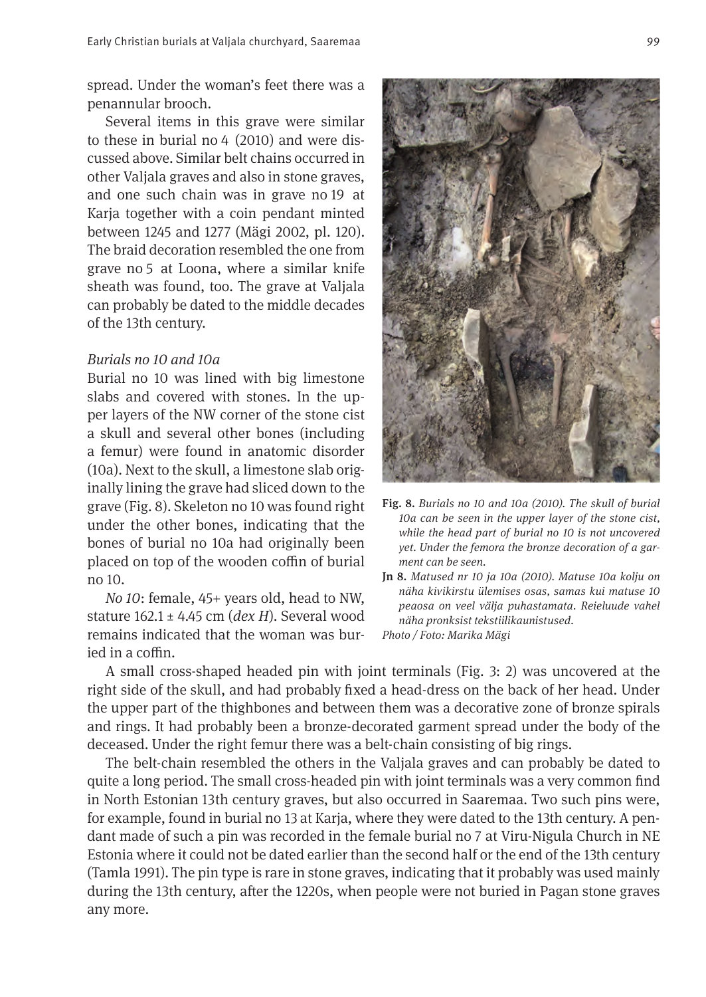spread. Under the woman's feet there was a penannular brooch.

Several items in this grave were similar to these in burial no 4 (2010) and were discussed above. Similar belt chains occurred in other Valjala graves and also in stone graves, and one such chain was in grave no 19 at Karja together with a coin pendant minted between 1245 and 1277 (Mägi 2002, pl. 120). The braid decoration resembled the one from grave no 5 at Loona, where a similar knife sheath was found, too. The grave at Valjala can probably be dated to the middle decades of the 13th century.

#### *Burials no 10 and 10a*

Burial no 10 was lined with big limestone slabs and covered with stones. In the upper layers of the NW corner of the stone cist a skull and several other bones (including a femur) were found in anatomic disorder (10a). Next to the skull, a limestone slab originally lining the grave had sliced down to the grave (Fig. 8). Skeleton no 10 was found right under the other bones, indicating that the bones of burial no 10a had originally been placed on top of the wooden coffin of burial no 10.

*No 10*: female, 45+ years old, head to NW, stature 162.1 ± 4.45 cm (*dex H*). Several wood remains indicated that the woman was buried in a coffin.



- Fig. 8. *Burials no 10 and 10a (2010). The skull of burial 10a can be seen in the upper layer of the stone cist, while the head part of burial no 10 is not uncovered yet. Under the femora the bronze decoration of a garment can be seen.*
- Jn 8. *Matused nr 10 ja 10a (2010). Matuse 10a kolju on näha kivikirstu ülemises osas, samas kui matuse 10 peaosa on veel välja puhastamata. Reieluude vahel näha pronksist tekstiilikaunistused. Photo / Foto: Marika Mägi*

A small cross-shaped headed pin with joint terminals (Fig. 3: 2) was uncovered at the right side of the skull, and had probably fxed a head-dress on the back of her head. Under the upper part of the thighbones and between them was a decorative zone of bronze spirals and rings. It had probably been a bronze-decorated garment spread under the body of the deceased. Under the right femur there was a belt-chain consisting of big rings.

The belt-chain resembled the others in the Valjala graves and can probably be dated to quite a long period. The small cross-headed pin with joint terminals was a very common fnd in North Estonian 13th century graves, but also occurred in Saaremaa. Two such pins were, for example, found in burial no 13 at Karja, where they were dated to the 13th century. A pendant made of such a pin was recorded in the female burial no 7 at Viru-Nigula Church in NE Estonia where it could not be dated earlier than the second half or the end of the 13th century (Tamla 1991). The pin type is rare in stone graves, indicating that it probably was used mainly during the 13th century, afer the 1220s, when people were not buried in Pagan stone graves any more.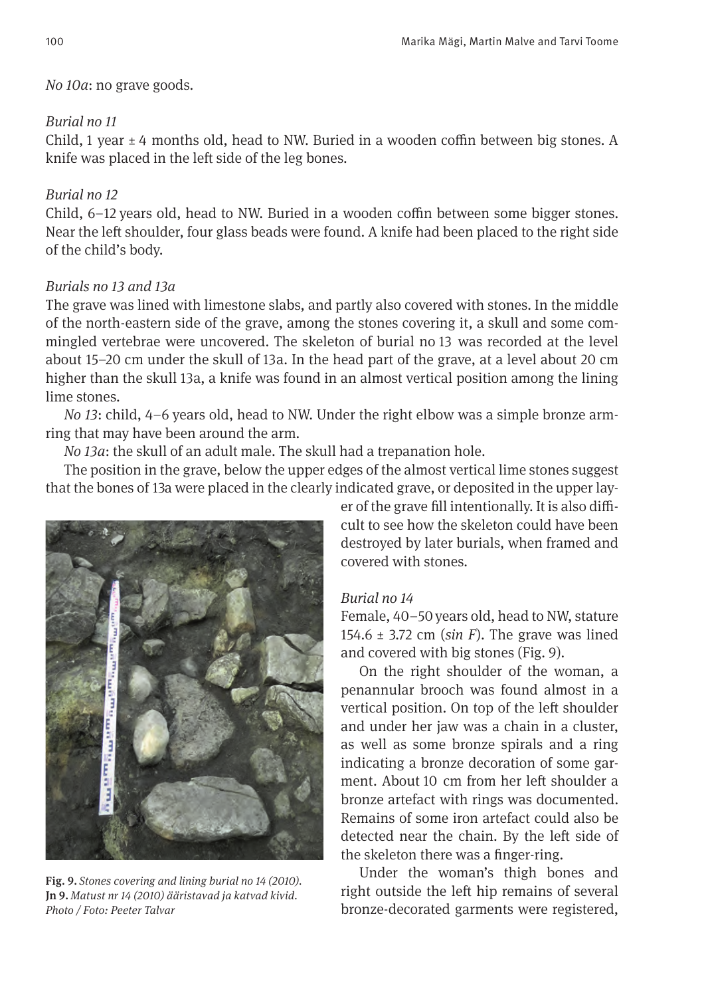## *No 10a*: no grave goods.

# *Burial no 11*

Child, 1 year  $\pm 4$  months old, head to NW. Buried in a wooden coffin between big stones. A knife was placed in the left side of the leg bones.

# *Burial no 12*

Child, 6–12 years old, head to NW. Buried in a wooden coffin between some bigger stones. Near the left shoulder, four glass beads were found. A knife had been placed to the right side of the child's body.

# *Burials no 13 and 13a*

The grave was lined with limestone slabs, and partly also covered with stones. In the middle of the north-eastern side of the grave, among the stones covering it, a skull and some commingled vertebrae were uncovered. The skeleton of burial no 13 was recorded at the level about 15–20 cm under the skull of 13a. In the head part of the grave, at a level about 20 cm higher than the skull 13a, a knife was found in an almost vertical position among the lining lime stones.

*No 13*: child, 4–6 years old, head to NW. Under the right elbow was a simple bronze armring that may have been around the arm.

*No 13a*: the skull of an adult male. The skull had a trepanation hole.

The position in the grave, below the upper edges of the almost vertical lime stones suggest that the bones of 13a were placed in the clearly indicated grave, or deposited in the upper lay-



Fig. 9. *Stones covering and lining burial no 14 (2010).* Jn 9. *Matust nr 14 (2010) ääristavad ja katvad kivid. Photo / Foto: Peeter Talvar*

er of the grave fill intentionally. It is also difficult to see how the skeleton could have been destroyed by later burials, when framed and covered with stones.

# *Burial no 14*

Female, 40–50 years old, head to NW, stature 154.6 ± 3.72 cm (*sin F*). The grave was lined and covered with big stones (Fig. 9).

On the right shoulder of the woman, a penannular brooch was found almost in a vertical position. On top of the left shoulder and under her jaw was a chain in a cluster, as well as some bronze spirals and a ring indicating a bronze decoration of some garment. About 10 cm from her left shoulder a bronze artefact with rings was documented. Remains of some iron artefact could also be detected near the chain. By the left side of the skeleton there was a fnger-ring.

Under the woman's thigh bones and right outside the left hip remains of several bronze-decorated garments were registered,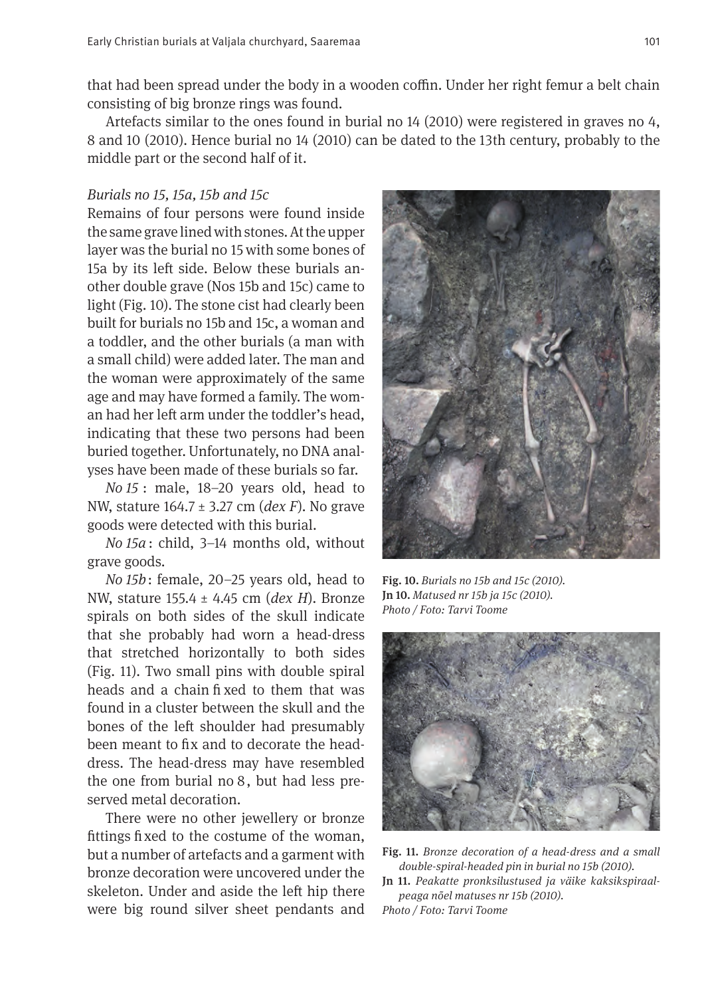that had been spread under the body in a wooden coffin. Under her right femur a belt chain consisting of big bronze rings was found.

Artefacts similar to the ones found in burial no 14 (2010) were registered in graves no 4, 8 and 10 (2010). Hence burial no 14 (2010) can be dated to the 13th century, probably to the middle part or the second half of it.

#### *Burials no 15, 15a, 15b and 15c*

Remains of four persons were found inside the same grave lined with stones. At the upper layer was the burial no 15 with some bones of 15a by its left side. Below these burials another double grave (Nos 15b and 15c) came to light (Fig. 10). The stone cist had clearly been built for burials no 15b and 15c, a woman and a toddler, and the other burials (a man with a small child) were added later. The man and the woman were approximately of the same age and may have formed a family. The woman had her left arm under the toddler's head. indicating that these two persons had been buried together. Unfortunately, no DNA analyses have been made of these burials so far.

*No 15* : male, 18–20 years old, head to NW, stature 164.7 ± 3.27 cm (*dex F*). No grave goods were detected with this burial.

*No 15a* : child, 3–14 months old, without grave goods.

*No 15b*: female, 20–25 years old, head to NW, stature 155.4 ± 4.45 cm (*dex H*). Bronze spirals on both sides of the skull indicate that she probably had worn a head-dress that stretched horizontally to both sides (Fig. 11). Two small pins with double spiral heads and a chain fixed to them that was found in a cluster between the skull and the bones of the left shoulder had presumably been meant to fx and to decorate the headdress. The head-dress may have resembled the one from burial no 8, but had less preserved metal decoration.

There were no other jewellery or bronze fttings fxed to the costume of the woman, but a number of artefacts and a garment with bronze decoration were uncovered under the skeleton. Under and aside the left hip there were big round silver sheet pendants and



Fig. 10. *Burials no 15b and 15c (2010).*  Jn 10. *Matused nr 15b ja 15c (2010). Photo / Foto: Tarvi Toome*



Fig. 11. *Bronze decoration of a head-dress and a small double-spiral-headed pin in burial no 15b (2010).* 

Jn 11. *Peakatte pronksilustused ja väike kaksikspiraalpeaga nõel matuses nr 15b (2010). Photo / Foto: Tarvi Toome*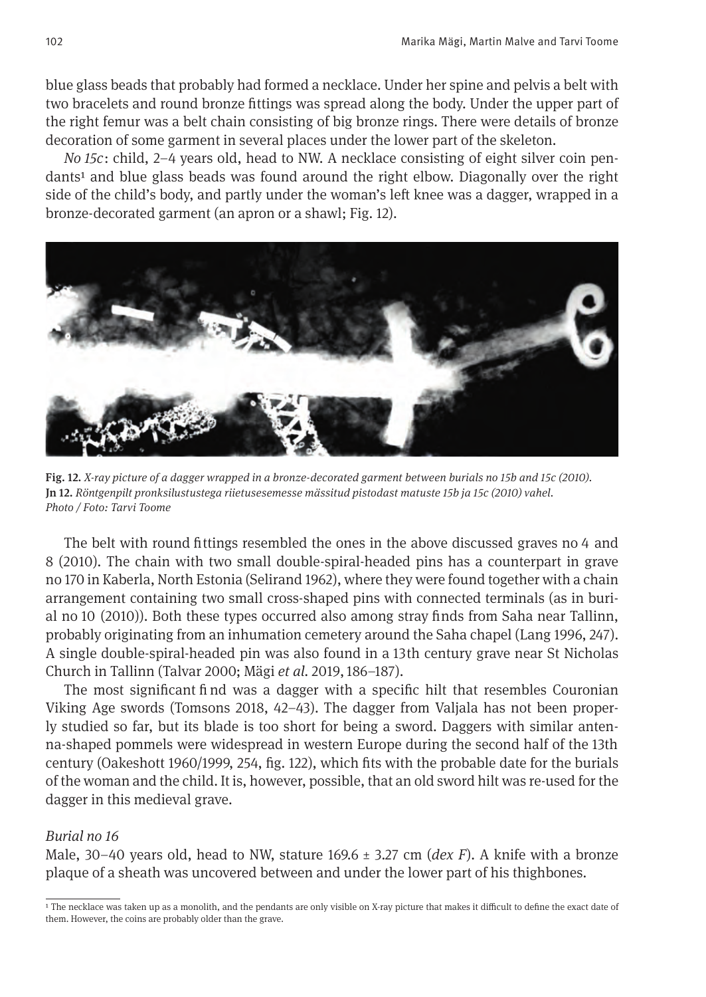blue glass beads that probably had formed a necklace. Under her spine and pelvis a belt with two bracelets and round bronze fttings was spread along the body. Under the upper part of the right femur was a belt chain consisting of big bronze rings. There were details of bronze decoration of some garment in several places under the lower part of the skeleton.

*No 15c*: child, 2–4 years old, head to NW. A necklace consisting of eight silver coin pendants<sup>1</sup> and blue glass beads was found around the right elbow. Diagonally over the right side of the child's body, and partly under the woman's left knee was a dagger, wrapped in a bronze-decorated garment (an apron or a shawl; Fig. 12).



Fig. 12. *X-ray picture of a dagger wrapped in a bronze-decorated garment between burials no 15b and 15c (2010).* Jn 12. *Röntgenpilt pronksilustustega riietusesemesse mässitud pistodast matuste 15b ja 15c (2010) vahel. Photo / Foto: Tarvi Toome* 

The belt with round fttings resembled the ones in the above discussed graves no 4 and 8 (2010). The chain with two small double-spiral-headed pins has a counterpart in grave no 170 in Kaberla, North Estonia (Selirand 1962), where they were found together with a chain arrangement containing two small cross-shaped pins with connected terminals (as in burial no 10 (2010)). Both these types occurred also among stray fnds from Saha near Tallinn, probably originating from an inhumation cemetery around the Saha chapel (Lang 1996, 247). A single double-spiral-headed pin was also found in a 13th century grave near St Nicholas Church in Tallinn (Talvar 2000; Mägi *et al.* 2019, 186–187).

The most significant find was a dagger with a specific hilt that resembles Couronian Viking Age swords (Tomsons 2018, 42–43). The dagger from Valjala has not been properly studied so far, but its blade is too short for being a sword. Daggers with similar antenna-shaped pommels were widespread in western Europe during the second half of the 13th century (Oakeshott 1960/1999, 254, fg. 122), which fts with the probable date for the burials of the woman and the child. It is, however, possible, that an old sword hilt was re-used for the dagger in this medieval grave.

#### *Burial no 16*

Male, 30–40 years old, head to NW, stature 169.6 ± 3.27 cm (*dex F*). A knife with a bronze plaque of a sheath was uncovered between and under the lower part of his thighbones.

<sup>&</sup>lt;sup>1</sup> The necklace was taken up as a monolith, and the pendants are only visible on X-ray picture that makes it difficult to define the exact date of them. However, the coins are probably older than the grave.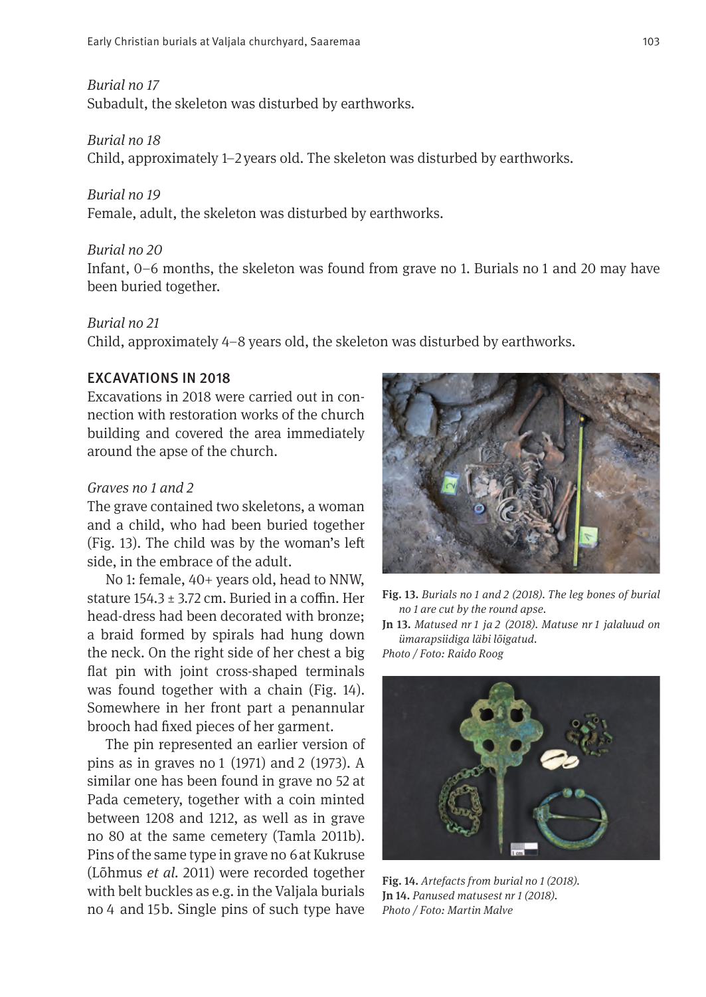*Burial no 17*

Subadult, the skeleton was disturbed by earthworks.

#### *Burial no 18*

Child, approximately 1–2 years old. The skeleton was disturbed by earthworks.

#### *Burial no 19*

Female, adult, the skeleton was disturbed by earthworks.

#### *Burial no 20*

Infant, 0–6 months, the skeleton was found from grave no 1. Burials no 1 and 20 may have been buried together.

#### *Burial no 21*

Child, approximately 4–8 years old, the skeleton was disturbed by earthworks.

## EXCAVATIONS IN 2018

Excavations in 2018 were carried out in connection with restoration works of the church building and covered the area immediately around the apse of the church.

## *Graves no 1 and 2*

The grave contained two skeletons, a woman and a child, who had been buried together (Fig. 13). The child was by the woman's lef side, in the embrace of the adult.

No 1: female, 40+ years old, head to NNW, stature  $154.3 \pm 3.72$  cm. Buried in a coffin. Her head-dress had been decorated with bronze; a braid formed by spirals had hung down the neck. On the right side of her chest a big flat pin with joint cross-shaped terminals was found together with a chain (Fig. 14). Somewhere in her front part a penannular brooch had fxed pieces of her garment.

The pin represented an earlier version of pins as in graves no 1 (1971) and 2 (1973). A similar one has been found in grave no 52 at Pada cemetery, together with a coin minted between 1208 and 1212, as well as in grave no 80 at the same cemetery (Tamla 2011b). Pins of the same type in grave no 6 at Kukruse (Lõhmus *et al.* 2011) were recorded together with belt buckles as e.g. in the Valjala burials no 4 and 15b. Single pins of such type have



Fig. 13. *Burials no 1 and 2 (2018). The leg bones of burial no 1 are cut by the round apse.* 

Jn 13. *Matused nr 1 ja 2 (2018). Matuse nr 1 jalaluud on ümarapsiidiga läbi lõigatud.* 

*Photo / Foto: Raido Roog*



Fig. 14. *Artefacts from burial no 1 (2018).*  Jn 14. *Panused matusest nr 1 (2018). Photo / Foto: Martin Malve*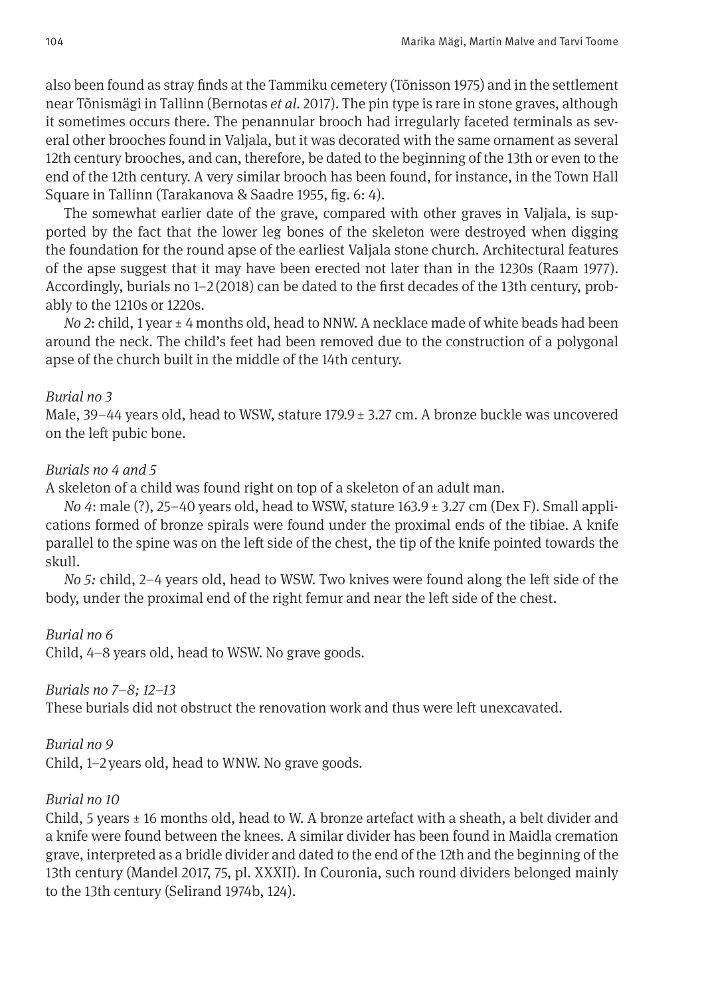also been found as stray fnds at the Tammiku cemetery (Tõnisson 1975) and in the settlement near Tõnismägi in Tallinn (Bernotas *et al.* 2017). The pin type is rare in stone graves, although it sometimes occurs there. The penannular brooch had irregularly faceted terminals as several other brooches found in Valjala, but it was decorated with the same ornament as several 12th century brooches, and can, therefore, be dated to the beginning of the 13th or even to the end of the 12th century. A very similar brooch has been found, for instance, in the Town Hall Square in Tallinn (Tarakanova & Saadre 1955, fg. 6: 4).

The somewhat earlier date of the grave, compared with other graves in Valjala, is supported by the fact that the lower leg bones of the skeleton were destroyed when digging the foundation for the round apse of the earliest Valjala stone church. Architectural features of the apse suggest that it may have been erected not later than in the 1230s (Raam 1977). Accordingly, burials no 1–2 (2018) can be dated to the frst decades of the 13th century, probably to the 1210s or 1220s.

*No 2*: child, 1 year  $\pm$  4 months old, head to NNW. A necklace made of white beads had been around the neck. The child's feet had been removed due to the construction of a polygonal apse of the church built in the middle of the 14th century.

## *Burial no 3*

Male,  $39-44$  years old, head to WSW, stature  $179.9 \pm 3.27$  cm. A bronze buckle was uncovered on the left pubic bone.

## *Burials no 4 and 5*

A skeleton of a child was found right on top of a skeleton of an adult man.

*No 4*: male (?), 25–40 years old, head to WSW, stature 163.9 ± 3.27 cm (Dex F). Small applications formed of bronze spirals were found under the proximal ends of the tibiae. A knife parallel to the spine was on the left side of the chest, the tip of the knife pointed towards the skull.

*No 5*: child, 2–4 years old, head to WSW. Two knives were found along the left side of the body, under the proximal end of the right femur and near the left side of the chest.

## *Burial no 6*

Child, 4–8 years old, head to WSW. No grave goods.

## *Burials no 7–8; 12–13*

These burials did not obstruct the renovation work and thus were left unexcavated.

## *Burial no 9*

Child, 1–2 years old, head to WNW. No grave goods.

## *Burial no 10*

Child, 5 years  $\pm$  16 months old, head to W. A bronze artefact with a sheath, a belt divider and a knife were found between the knees. A similar divider has been found in Maidla cremation grave, interpreted as a bridle divider and dated to the end of the 12th and the beginning of the 13th century (Mandel 2017, 75, pl. XXXII). In Couronia, such round dividers belonged mainly to the 13th century (Selirand 1974b, 124).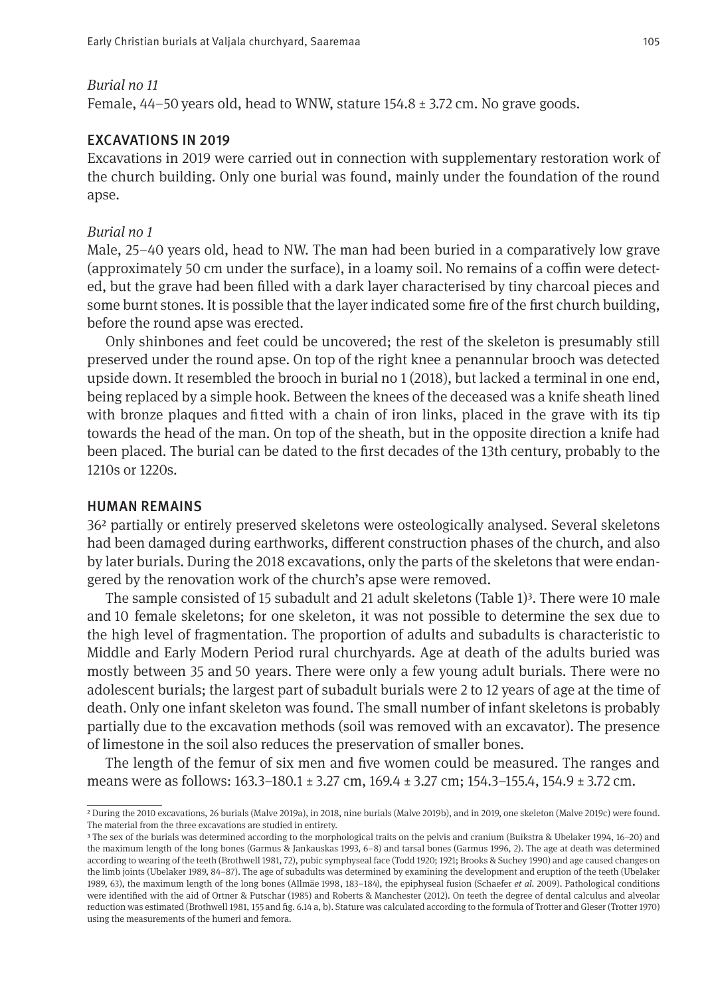#### *Burial no 11*

Female, 44–50 years old, head to WNW, stature 154.8 ± 3.72 cm. No grave goods.

## EXCAVATIONS IN 2019

Excavations in 2019 were carried out in connection with supplementary restoration work of the church building. Only one burial was found, mainly under the foundation of the round apse.

#### *Burial no 1*

Male, 25–40 years old, head to NW. The man had been buried in a comparatively low grave (approximately 50 cm under the surface), in a loamy soil. No remains of a coffin were detected, but the grave had been flled with a dark layer characterised by tiny charcoal pieces and some burnt stones. It is possible that the layer indicated some fre of the frst church building, before the round apse was erected.

Only shinbones and feet could be uncovered; the rest of the skeleton is presumably still preserved under the round apse. On top of the right knee a penannular brooch was detected upside down. It resembled the brooch in burial no 1 (2018), but lacked a terminal in one end, being replaced by a simple hook. Between the knees of the deceased was a knife sheath lined with bronze plaques and ftted with a chain of iron links, placed in the grave with its tip towards the head of the man. On top of the sheath, but in the opposite direction a knife had been placed. The burial can be dated to the frst decades of the 13th century, probably to the 1210s or 1220s.

#### HUMAN REMAINS

36² partially or entirely preserved skeletons were osteologically analysed. Several skeletons had been damaged during earthworks, diferent construction phases of the church, and also by later burials. During the 2018 excavations, only the parts of the skeletons that were endangered by the renovation work of the church's apse were removed.

The sample consisted of 15 subadult and 21 adult skeletons (Table 1)<sup>3</sup>. There were 10 male and 10 female skeletons; for one skeleton, it was not possible to determine the sex due to the high level of fragmentation. The proportion of adults and subadults is characteristic to Middle and Early Modern Period rural churchyards. Age at death of the adults buried was mostly between 35 and 50 years. There were only a few young adult burials. There were no adolescent burials; the largest part of subadult burials were 2 to 12 years of age at the time of death. Only one infant skeleton was found. The small number of infant skeletons is probably partially due to the excavation methods (soil was removed with an excavator). The presence of limestone in the soil also reduces the preservation of smaller bones.

The length of the femur of six men and fve women could be measured. The ranges and means were as follows: 163.3–180.1 ± 3.27 cm, 169.4 ± 3.27 cm; 154.3–155.4, 154.9 ± 3.72 cm.

² During the 2010 excavations, 26 burials (Malve 2019a), in 2018, nine burials (Malve 2019b), and in 2019, one skeleton (Malve 2019c) were found. The material from the three excavations are studied in entirety.

³ The sex of the burials was determined according to the morphological traits on the pelvis and cranium (Buikstra & Ubelaker 1994, 16–20) and the maximum length of the long bones (Garmus & Jankauskas 1993, 6–8) and tarsal bones (Garmus 1996, 2). The age at death was determined according to wearing of the teeth (Brothwell 1981, 72), pubic symphyseal face (Todd 1920; 1921; Brooks & Suchey 1990) and age caused changes on the limb joints (Ubelaker 1989, 84–87). The age of subadults was determined by examining the development and eruption of the teeth (Ubelaker 1989, 63), the maximum length of the long bones (Allmäe 1998, 183–184), the epiphyseal fusion (Schaefer *et al.* 2009). Pathological conditions were identifed with the aid of Ortner & Putschar (1985) and Roberts & Manchester (2012). On teeth the degree of dental calculus and alveolar reduction was estimated (Brothwell 1981, 155 and fg. 6.14 a, b). Stature was calculated according to the formula of Trotter and Gleser (Trotter 1970) using the measurements of the humeri and femora.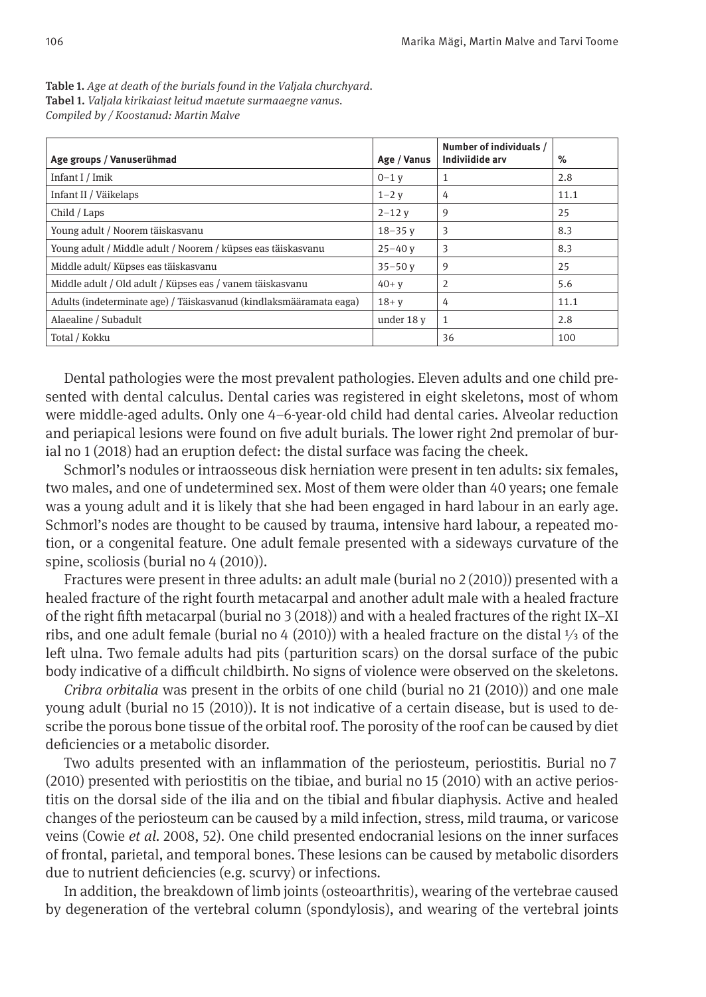| Age groups / Vanuserühmad                                          | Age / Vanus | Number of individuals /<br>Indiviidide arv | $\%$ |
|--------------------------------------------------------------------|-------------|--------------------------------------------|------|
| Infant I / Imik                                                    | $0-1$ v     | 1                                          | 2.8  |
| Infant II / Väikelaps                                              | $1 - 2$ v   | 4                                          | 11.1 |
| Child / Laps                                                       | $2 - 12$ v  | 9                                          | 25   |
| Young adult / Noorem täiskasvanu                                   | $18 - 35$ v | 3                                          | 8.3  |
| Young adult / Middle adult / Noorem / küpses eas täiskasvanu       | $25 - 40$ v | 3                                          | 8.3  |
| Middle adult/Küpses eas täiskasvanu                                | $35 - 50$ v | 9                                          | 25   |
| Middle adult / Old adult / Küpses eas / vanem täiskasvanu          | $40 + v$    | 2                                          | 5.6  |
| Adults (indeterminate age) / Täiskasvanud (kindlaksmääramata eaga) | $18 + v$    | 4                                          | 11.1 |
| Alaealine / Subadult                                               | under 18 y  | $\mathbf{1}$                               | 2.8  |
| Total / Kokku                                                      |             | 36                                         | 100  |

Table 1. *Age at death of the burials found in the Valjala churchyard.* Tabel 1. *Valjala kirikaiast leitud maetute surmaaegne vanus. Compiled by / Koostanud: Martin Malve*

Dental pathologies were the most prevalent pathologies. Eleven adults and one child presented with dental calculus. Dental caries was registered in eight skeletons, most of whom were middle-aged adults. Only one 4–6-year-old child had dental caries. Alveolar reduction and periapical lesions were found on fve adult burials. The lower right 2nd premolar of burial no 1 (2018) had an eruption defect: the distal surface was facing the cheek.

Schmorl's nodules or intraosseous disk herniation were present in ten adults: six females, two males, and one of undetermined sex. Most of them were older than 40 years; one female was a young adult and it is likely that she had been engaged in hard labour in an early age. Schmorl's nodes are thought to be caused by trauma, intensive hard labour, a repeated motion, or a congenital feature. One adult female presented with a sideways curvature of the spine, scoliosis (burial no 4 (2010)).

Fractures were present in three adults: an adult male (burial no  $2(2010)$ ) presented with a healed fracture of the right fourth metacarpal and another adult male with a healed fracture of the right ffh metacarpal (burial no 3 (2018)) and with a healed fractures of the right IX–XI ribs, and one adult female (burial no 4 (2010)) with a healed fracture on the distal ⅓ of the left ulna. Two female adults had pits (parturition scars) on the dorsal surface of the pubic body indicative of a difficult childbirth. No signs of violence were observed on the skeletons.

*Cribra orbitalia* was present in the orbits of one child (burial no 21 (2010)) and one male young adult (burial no 15 (2010)). It is not indicative of a certain disease, but is used to describe the porous bone tissue of the orbital roof. The porosity of the roof can be caused by diet defciencies or a metabolic disorder.

Two adults presented with an infammation of the periosteum, periostitis. Burial no 7 (2010) presented with periostitis on the tibiae, and burial no 15 (2010) with an active periostitis on the dorsal side of the ilia and on the tibial and fbular diaphysis. Active and healed changes of the periosteum can be caused by a mild infection, stress, mild trauma, or varicose veins (Cowie *et al.* 2008, 52). One child presented endocranial lesions on the inner surfaces of frontal, parietal, and temporal bones. These lesions can be caused by metabolic disorders due to nutrient defciencies (e.g. scurvy) or infections.

In addition, the breakdown of limb joints (osteoarthritis), wearing of the vertebrae caused by degeneration of the vertebral column (spondylosis), and wearing of the vertebral joints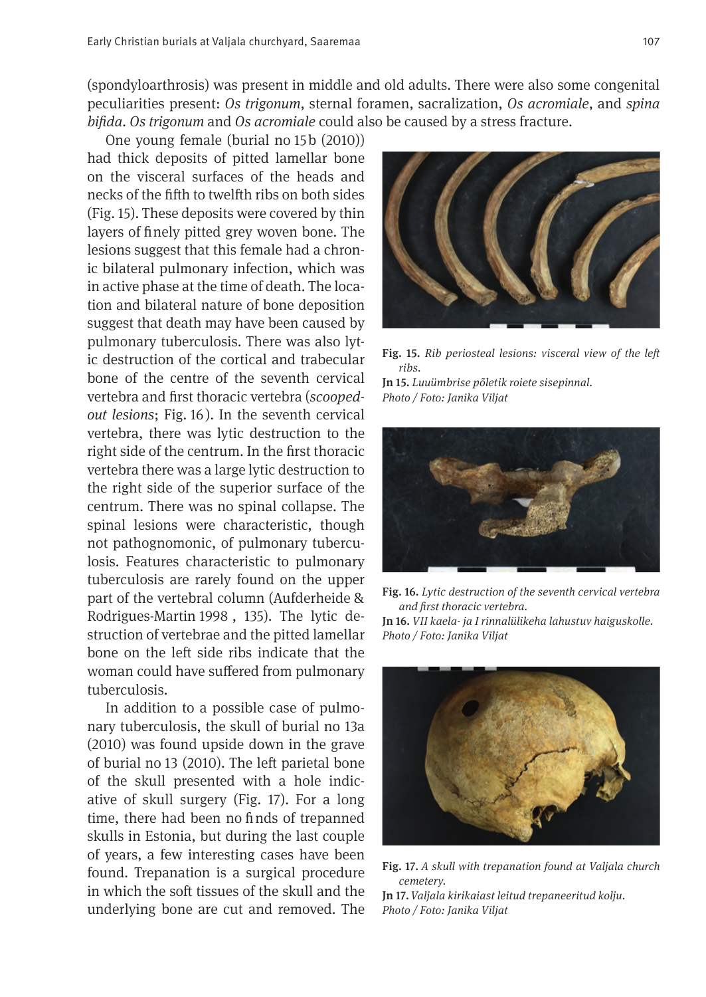(spondyloarthrosis) was present in middle and old adults. There were also some congenital peculiarities present: *Os trigonum*, sternal foramen, sacralization, *Os acromiale*, and *spina bifda*. *Os trigonum* and *Os acromiale* could also be caused by a stress fracture.

One young female (burial no 15b (2010)) had thick deposits of pitted lamellar bone on the visceral surfaces of the heads and necks of the ffh to twelfh ribs on both sides (Fig. 15). These deposits were covered by thin layers of fnely pitted grey woven bone. The lesions suggest that this female had a chronic bilateral pulmonary infection, which was in active phase at the time of death. The location and bilateral nature of bone deposition suggest that death may have been caused by pulmonary tuberculosis. There was also lytic destruction of the cortical and trabecular bone of the centre of the seventh cervical vertebra and frst thoracic vertebra (*scoopedout lesions*; Fig. 16). In the seventh cervical vertebra, there was lytic destruction to the right side of the centrum. In the frst thoracic vertebra there was a large lytic destruction to the right side of the superior surface of the centrum. There was no spinal collapse. The spinal lesions were characteristic, though not pathognomonic, of pulmonary tuberculosis. Features characteristic to pulmonary tuberculosis are rarely found on the upper part of the vertebral column (Aufderheide & Rodrigues-Martin 1998 , 135). The lytic destruction of vertebrae and the pitted lamellar bone on the left side ribs indicate that the woman could have sufered from pulmonary tuberculosis.

In addition to a possible case of pulmonary tuberculosis, the skull of burial no 13a (2010) was found upside down in the grave of burial no 13 (2010). The left parietal bone of the skull presented with a hole indicative of skull surgery (Fig. 17). For a long time, there had been no finds of trepanned skulls in Estonia, but during the last couple of years, a few interesting cases have been found. Trepanation is a surgical procedure in which the soft tissues of the skull and the underlying bone are cut and removed. The



Fig. 15. *Rib periosteal lesions: visceral view of the lef ribs.*

Jn 15. *Luuümbrise põletik roiete sisepinnal. Photo / Foto: Janika Viljat*



Fig. 16. *Lytic destruction of the seventh cervical vertebra and frst thoracic vertebra.*

Jn 16. *VII kaela- ja I rinnalülikeha lahustuv haiguskolle. Photo / Foto: Janika Viljat*



Fig. 17. *A skull with trepanation found at Valjala church cemetery.* 

Jn 17. *Valjala kirikaiast leitud trepaneeritud kolju. Photo / Foto: Janika Viljat*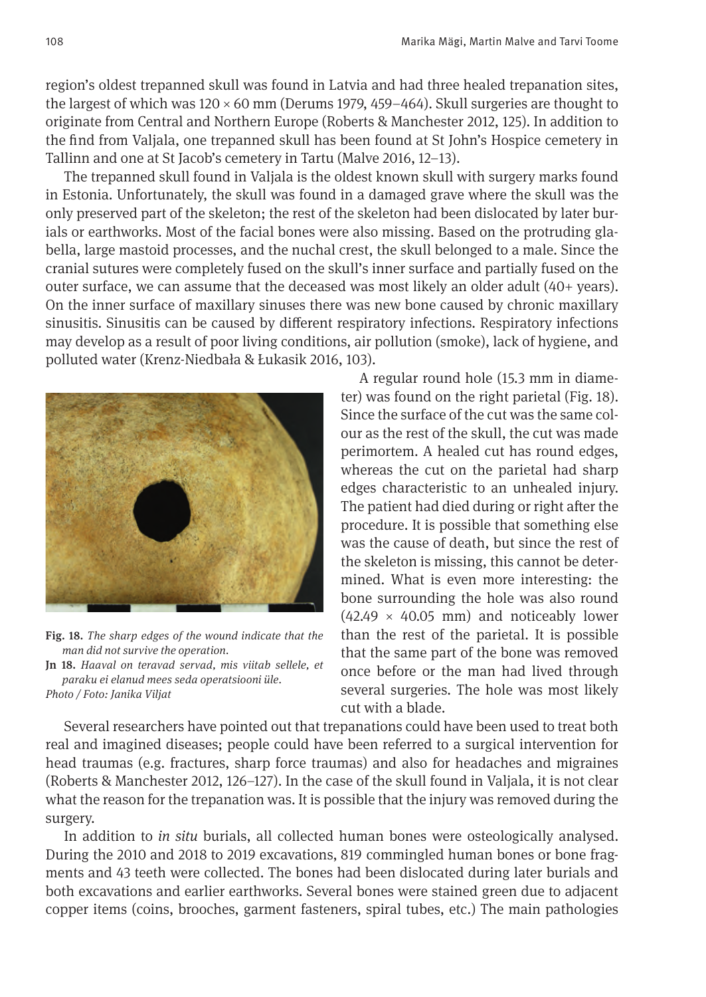region's oldest trepanned skull was found in Latvia and had three healed trepanation sites, the largest of which was  $120 \times 60$  mm (Derums 1979, 459–464). Skull surgeries are thought to originate from Central and Northern Europe (Roberts & Manchester 2012, 125). In addition to the fnd from Valjala, one trepanned skull has been found at St John's Hospice cemetery in Tallinn and one at St Jacob's cemetery in Tartu (Malve 2016, 12–13).

The trepanned skull found in Valjala is the oldest known skull with surgery marks found in Estonia. Unfortunately, the skull was found in a damaged grave where the skull was the only preserved part of the skeleton; the rest of the skeleton had been dislocated by later burials or earthworks. Most of the facial bones were also missing. Based on the protruding glabella, large mastoid processes, and the nuchal crest, the skull belonged to a male. Since the cranial sutures were completely fused on the skull's inner surface and partially fused on the outer surface, we can assume that the deceased was most likely an older adult (40+ years). On the inner surface of maxillary sinuses there was new bone caused by chronic maxillary sinusitis. Sinusitis can be caused by diferent respiratory infections. Respiratory infections may develop as a result of poor living conditions, air pollution (smoke), lack of hygiene, and polluted water (Krenz-Niedbała & Łukasik 2016, 103).



Fig. 18. *The sharp edges of the wound indicate that the man did not survive the operation.*

Jn 18. *Haaval on teravad servad, mis viitab sellele, et para ku ei elanud mees seda operatsiooni üle. Photo / Foto: Janika Viljat*

A regular round hole (15.3 mm in diameter) was found on the right parietal (Fig. 18). Since the surface of the cut was the same colour as the rest of the skull, the cut was made perimortem. A healed cut has round edges, whereas the cut on the parietal had sharp edges characteristic to an unhealed injury. The patient had died during or right after the procedure. It is possible that something else was the cause of death, but since the rest of the skeleton is missing, this cannot be determined. What is even more interesting: the bone surrounding the hole was also round  $(42.49 \times 40.05$  mm) and noticeably lower than the rest of the parietal. It is possible that the same part of the bone was removed once before or the man had lived through several surgeries. The hole was most likely cut with a blade.

Several researchers have pointed out that trepanations could have been used to treat both real and imagined diseases; people could have been referred to a surgical intervention for head traumas (e.g. fractures, sharp force traumas) and also for headaches and migraines (Roberts & Manchester 2012, 126–127). In the case of the skull found in Valjala, it is not clear what the reason for the trepanation was. It is possible that the injury was removed during the surgery.

In addition to *in situ* burials, all collected human bones were osteologically analysed. During the 2010 and 2018 to 2019 excavations, 819 commingled human bones or bone fragments and 43 teeth were collected. The bones had been dislocated during later burials and both excavations and earlier earthworks. Several bones were stained green due to adjacent copper items (coins, brooches, garment fasteners, spiral tubes, etc.) The main pathologies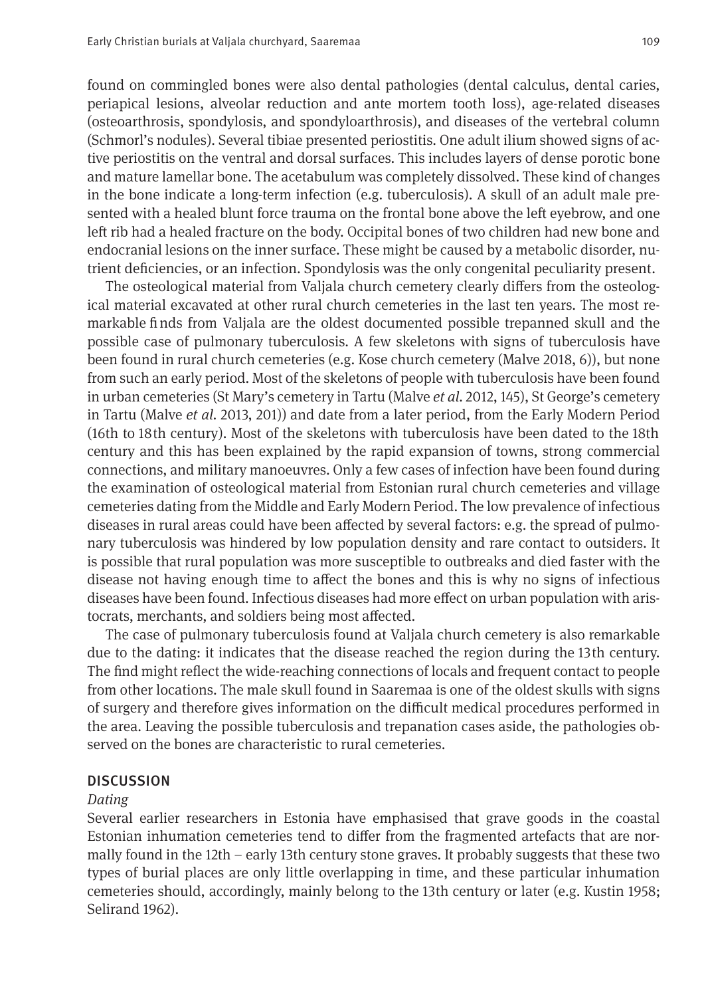found on commingled bones were also dental pathologies (dental calculus, dental caries, periapical lesions, alveolar reduction and ante mortem tooth loss), age-related diseases (osteoarthrosis, spondylosis, and spondyloarthrosis), and diseases of the vertebral column (Schmorl's nodules). Several tibiae presented periostitis. One adult ilium showed signs of active periostitis on the ventral and dorsal surfaces. This includes layers of dense porotic bone and mature lamellar bone. The acetabulum was completely dissolved. These kind of changes in the bone indicate a long-term infection (e.g. tuberculosis). A skull of an adult male presented with a healed blunt force trauma on the frontal bone above the left eyebrow, and one left rib had a healed fracture on the body. Occipital bones of two children had new bone and endocranial lesions on the inner surface. These might be caused by a metabolic disorder, nutrient defciencies, or an infection. Spondylosis was the only congenital peculiarity present.

The osteological material from Valjala church cemetery clearly difers from the osteological material excavated at other rural church cemeteries in the last ten years. The most remarkable fnds from Valjala are the oldest documented possible trepanned skull and the possible case of pulmonary tuberculosis. A few skeletons with signs of tuberculosis have been found in rural church cemeteries (e.g. Kose church cemetery (Malve 2018, 6)), but none from such an early period. Most of the skeletons of people with tuberculosis have been found in urban cemeteries (St Mary's cemetery in Tartu (Malve *et al.* 2012, 145), St George's cemetery in Tartu (Malve *et al.* 2013, 201)) and date from a later period, from the Early Modern Period (16th to 18th century). Most of the skeletons with tuberculosis have been dated to the 18th century and this has been explained by the rapid expansion of towns, strong commercial connections, and military manoeuvres. Only a few cases of infection have been found during the examination of osteological material from Estonian rural church cemeteries and village cemeteries dating from the Middle and Early Modern Period. The low prevalence of infectious diseases in rural areas could have been afected by several factors: e.g. the spread of pulmonary tuberculosis was hindered by low population density and rare contact to outsiders. It is possible that rural population was more susceptible to outbreaks and died faster with the disease not having enough time to afect the bones and this is why no signs of infectious diseases have been found. Infectious diseases had more efect on urban population with aristocrats, merchants, and soldiers being most afected.

The case of pulmonary tuberculosis found at Valjala church cemetery is also remarkable due to the dating: it indicates that the disease reached the region during the 13th century. The fnd might refect the wide-reaching connections of locals and frequent contact to people from other locations. The male skull found in Saaremaa is one of the oldest skulls with signs of surgery and therefore gives information on the difcult medical procedures performed in the area. Leaving the possible tuberculosis and trepanation cases aside, the pathologies observed on the bones are characteristic to rural cemeteries.

#### **DISCUSSION**

#### *Dating*

Several earlier researchers in Estonia have emphasised that grave goods in the coastal Estonian inhumation cemeteries tend to difer from the fragmented artefacts that are normally found in the 12th – early 13th century stone graves. It probably suggests that these two types of burial places are only little overlapping in time, and these particular inhumation cemeteries should, accordingly, mainly belong to the 13th century or later (e.g. Kustin 1958; Selirand 1962).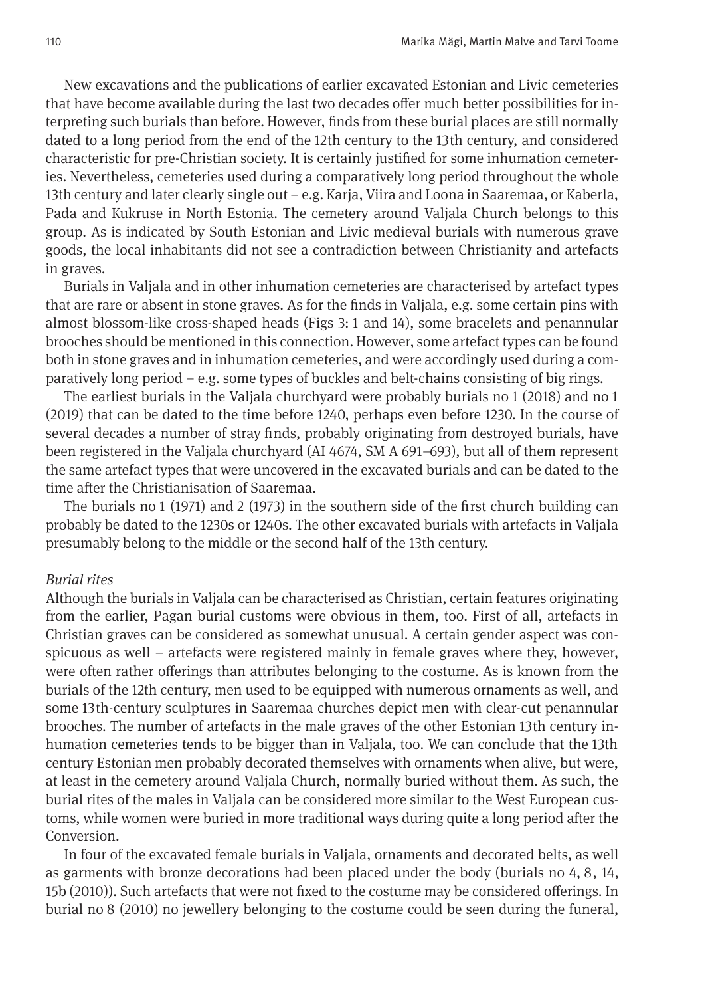New excavations and the publications of earlier excavated Estonian and Livic cemeteries that have become available during the last two decades offer much better possibilities for interpreting such burials than before. However, fnds from these burial places are still normally dated to a long period from the end of the 12th century to the 13th century, and considered characteristic for pre-Christian society. It is certainly justifed for some inhumation cemeteries. Nevertheless, cemeteries used during a comparatively long period throughout the whole 13th century and later clearly single out – e.g. Karja, Viira and Loona in Saaremaa, or Kaberla, Pada and Kukruse in North Estonia. The cemetery around Valjala Church belongs to this group. As is indicated by South Estonian and Livic medieval burials with numerous grave goods, the local inhabitants did not see a contradiction between Christianity and artefacts in graves.

Burials in Valjala and in other inhumation cemeteries are characterised by artefact types that are rare or absent in stone graves. As for the fnds in Valjala, e.g. some certain pins with almost blossom-like cross-shaped heads (Figs 3: 1 and 14), some bracelets and penannular brooches should be mentioned in this connection. However, some artefact types can be found both in stone graves and in inhumation cemeteries, and were accordingly used during a comparatively long period – e.g. some types of buckles and belt-chains consisting of big rings.

The earliest burials in the Valjala churchyard were probably burials no 1 (2018) and no 1 (2019) that can be dated to the time before 1240, perhaps even before 1230. In the course of several decades a number of stray fnds, probably originating from destroyed burials, have been registered in the Valjala churchyard (AI 4674, SM A 691–693), but all of them represent the same artefact types that were uncovered in the excavated burials and can be dated to the time after the Christianisation of Saaremaa.

The burials no 1 (1971) and 2 (1973) in the southern side of the frst church building can probably be dated to the 1230s or 1240s. The other excavated burials with artefacts in Valjala presumably belong to the middle or the second half of the 13th century.

#### *Burial rites*

Although the burials in Valjala can be characterised as Christian, certain features originating from the earlier, Pagan burial customs were obvious in them, too. First of all, artefacts in Christian graves can be considered as somewhat unusual. A certain gender aspect was conspicuous as well – artefacts were registered mainly in female graves where they, however, were ofen rather oferings than attributes belonging to the costume. As is known from the burials of the 12th century, men used to be equipped with numerous ornaments as well, and some 13th-century sculptures in Saaremaa churches depict men with clear-cut penannular brooches. The number of artefacts in the male graves of the other Estonian 13th century inhumation cemeteries tends to be bigger than in Valjala, too. We can conclude that the 13th century Estonian men probably decorated themselves with ornaments when alive, but were, at least in the cemetery around Valjala Church, normally buried without them. As such, the burial rites of the males in Valjala can be considered more similar to the West European customs, while women were buried in more traditional ways during quite a long period afer the Conversion.

In four of the excavated female burials in Valjala, ornaments and decorated belts, as well as garments with bronze decorations had been placed under the body (burials no 4, 8, 14, 15b (2010)). Such artefacts that were not fxed to the costume may be considered oferings. In burial no 8 (2010) no jewellery belonging to the costume could be seen during the funeral,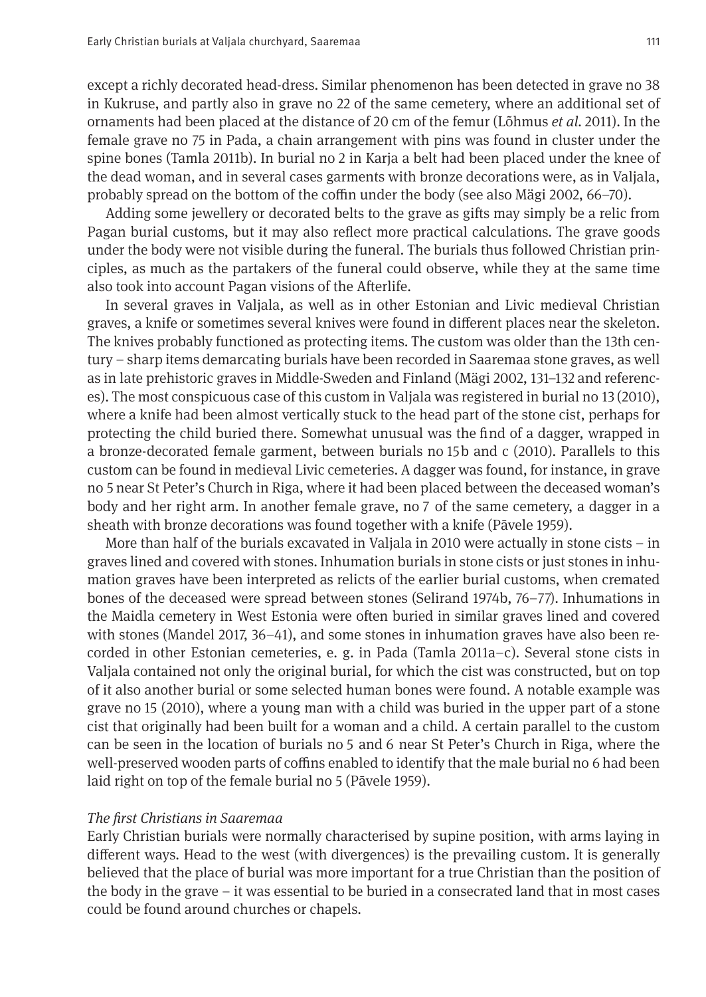except a richly decorated head-dress. Similar phenomenon has been detected in grave no 38 in Kukruse, and partly also in grave no 22 of the same cemetery, where an additional set of ornaments had been placed at the distance of 20 cm of the femur (Lõhmus *et al.* 2011). In the female grave no 75 in Pada, a chain arrangement with pins was found in cluster under the spine bones (Tamla 2011b). In burial no 2 in Karja a belt had been placed under the knee of the dead woman, and in several cases garments with bronze decorations were, as in Valjala, probably spread on the bottom of the cofn under the body (see also Mägi 2002, 66–70).

Adding some jewellery or decorated belts to the grave as gifs may simply be a relic from Pagan burial customs, but it may also refect more practical calculations. The grave goods under the body were not visible during the funeral. The burials thus followed Christian principles, as much as the partakers of the funeral could observe, while they at the same time also took into account Pagan visions of the Aferlife.

In several graves in Valjala, as well as in other Estonian and Livic medieval Christian graves, a knife or sometimes several knives were found in diferent places near the skeleton. The knives probably functioned as protecting items. The custom was older than the 13th century – sharp items demarcating burials have been recorded in Saaremaa stone graves, as well as in late prehistoric graves in Middle-Sweden and Finland (Mägi 2002, 131–132 and references). The most conspicuous case of this custom in Valjala was registered in burial no 13 (2010), where a knife had been almost vertically stuck to the head part of the stone cist, perhaps for protecting the child buried there. Somewhat unusual was the fnd of a dagger, wrapped in a bronze-decorated female garment, between burials no 15b and c (2010). Parallels to this custom can be found in medieval Livic cemeteries. A dagger was found, for instance, in grave no 5 near St Peter's Church in Riga, where it had been placed between the deceased woman's body and her right arm. In another female grave, no 7 of the same cemetery, a dagger in a sheath with bronze decorations was found together with a knife (Pāvele 1959).

More than half of the burials excavated in Valjala in 2010 were actually in stone cists – in graves lined and covered with stones. Inhumation burials in stone cists or just stones in inhumation graves have been interpreted as relicts of the earlier burial customs, when cremated bones of the deceased were spread between stones (Selirand 1974b, 76–77). Inhumations in the Maidla cemetery in West Estonia were ofen buried in similar graves lined and covered with stones (Mandel 2017, 36–41), and some stones in inhumation graves have also been recorded in other Estonian cemeteries, e. g. in Pada (Tamla 2011a–c). Several stone cists in Valjala contained not only the original burial, for which the cist was constructed, but on top of it also another burial or some selected human bones were found. A notable example was grave no 15 (2010), where a young man with a child was buried in the upper part of a stone cist that originally had been built for a woman and a child. A certain parallel to the custom can be seen in the location of burials no 5 and 6 near St Peter's Church in Riga, where the well-preserved wooden parts of coffins enabled to identify that the male burial no 6 had been laid right on top of the female burial no 5 (Pāvele 1959).

#### *The frst Christians in Saaremaa*

Early Christian burials were normally characterised by supine position, with arms laying in diferent ways. Head to the west (with divergences) is the prevailing custom. It is generally believed that the place of burial was more important for a true Christian than the position of the body in the grave – it was essential to be buried in a consecrated land that in most cases could be found around churches or chapels.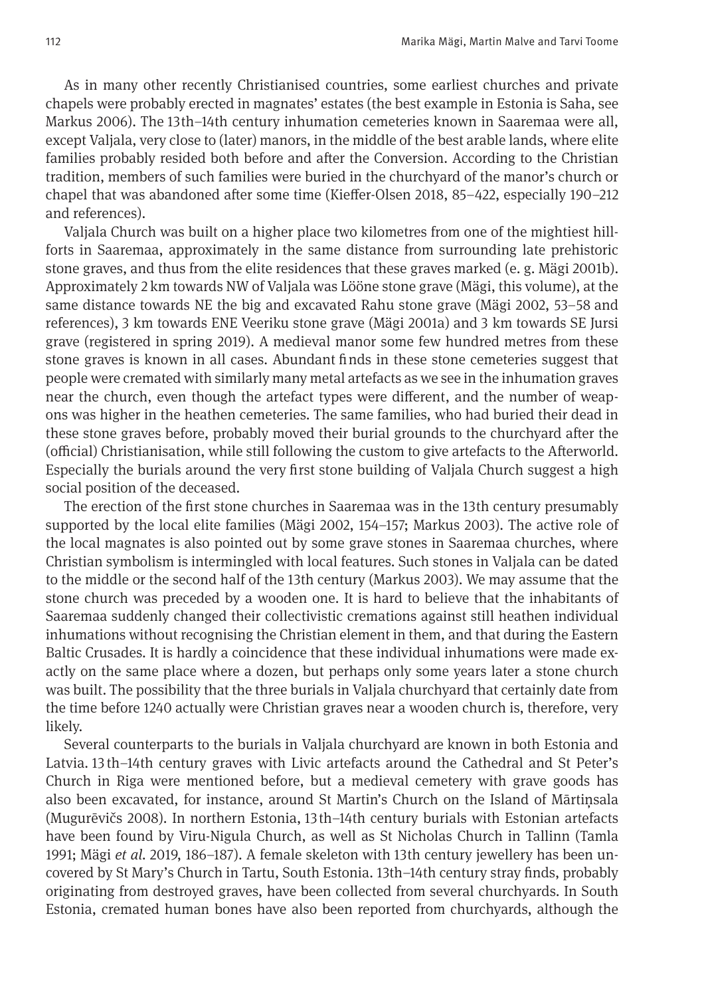As in many other recently Christianised countries, some earliest churches and private chapels were probably erected in magnates' estates (the best example in Estonia is Saha, see Markus 2006). The 13th–14th century inhumation cemeteries known in Saaremaa were all, except Valjala, very close to (later) manors, in the middle of the best arable lands, where elite families probably resided both before and afer the Conversion. According to the Christian tradition, members of such families were buried in the churchyard of the manor's church or chapel that was abandoned afer some time (Kiefer-Olsen 2018, 85–422, especially 190–212 and references).

Valjala Church was built on a higher place two kilometres from one of the mightiest hillforts in Saaremaa, approximately in the same distance from surrounding late prehistoric stone graves, and thus from the elite residences that these graves marked (e. g. Mägi 2001b). Approximately 2 km towards NW of Valjala was Lööne stone grave (Mägi, this volume), at the same distance towards NE the big and excavated Rahu stone grave (Mägi 2002, 53–58 and references), 3 km towards ENE Veeriku stone grave (Mägi 2001a) and 3 km towards SE Jursi grave (registered in spring 2019). A medieval manor some few hundred metres from these stone graves is known in all cases. Abundant fnds in these stone cemeteries suggest that people were cremated with similarly many metal artefacts as we see in the inhumation graves near the church, even though the artefact types were diferent, and the number of weapons was higher in the heathen cemeteries. The same families, who had buried their dead in these stone graves before, probably moved their burial grounds to the churchyard afer the (official) Christianisation, while still following the custom to give artefacts to the Afterworld. Especially the burials around the very frst stone building of Valjala Church suggest a high social position of the deceased.

The erection of the frst stone churches in Saaremaa was in the 13th century presumably supported by the local elite families (Mägi 2002, 154–157; Markus 2003). The active role of the local magnates is also pointed out by some grave stones in Saaremaa churches, where Christian symbolism is intermingled with local features. Such stones in Valjala can be dated to the middle or the second half of the 13th century (Markus 2003). We may assume that the stone church was preceded by a wooden one. It is hard to believe that the inhabitants of Saaremaa suddenly changed their collectivistic cremations against still heathen individual inhumations without recognising the Christian element in them, and that during the Eastern Baltic Crusades. It is hardly a coincidence that these individual inhumations were made exactly on the same place where a dozen, but perhaps only some years later a stone church was built. The possibility that the three burials in Valjala churchyard that certainly date from the time before 1240 actually were Christian graves near a wooden church is, therefore, very likely.

Several counterparts to the burials in Valjala churchyard are known in both Estonia and Latvia. 13 th–14th century graves with Livic artefacts around the Cathedral and St Peter's Church in Riga were mentioned before, but a medieval cemetery with grave goods has also been excavated, for instance, around St Martin's Church on the Island of Mārtiņsala (Mugurēvičs 2008). In northern Estonia, 13th–14th century burials with Estonian artefacts have been found by Viru-Nigula Church, as well as St Nicholas Church in Tallinn (Tamla 1991; Mägi *et al.* 2019, 186–187). A female skeleton with 13th century jewellery has been uncovered by St Mary's Church in Tartu, South Estonia. 13th–14th century stray fnds, probably originating from destroyed graves, have been collected from several churchyards. In South Estonia, cremated human bones have also been reported from churchyards, although the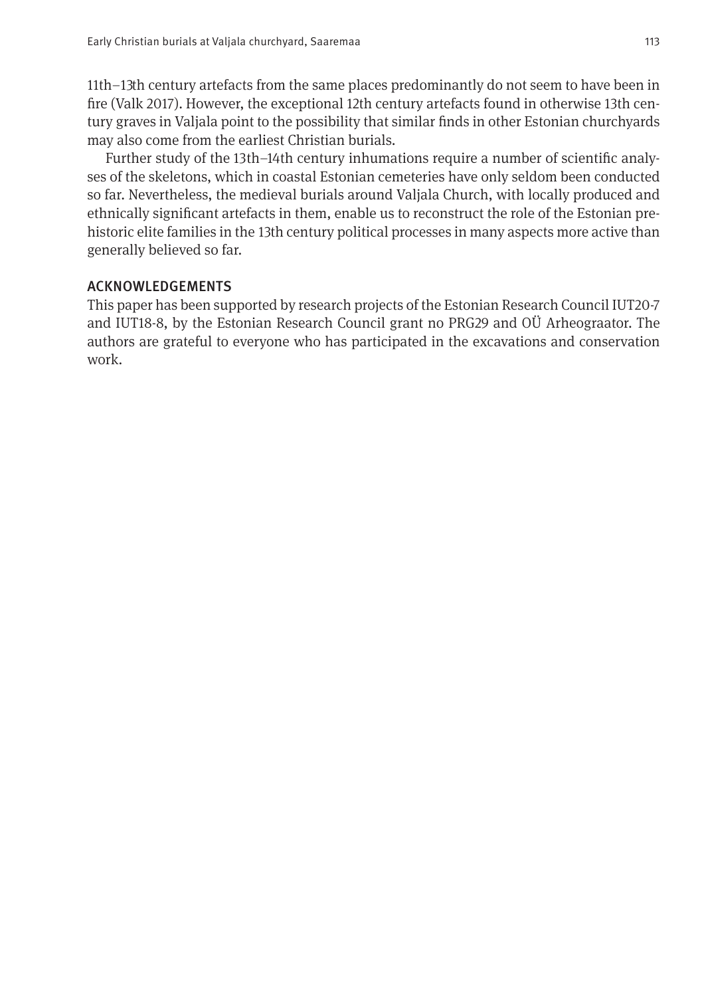11th–13th century artefacts from the same places predominantly do not seem to have been in fre (Valk 2017). However, the exceptional 12th century artefacts found in otherwise 13th century graves in Valjala point to the possibility that similar fnds in other Estonian churchyards may also come from the earliest Christian burials.

Further study of the 13th–14th century inhumations require a number of scientifc analyses of the skeletons, which in coastal Estonian cemeteries have only seldom been conducted so far. Nevertheless, the medieval burials around Valjala Church, with locally produced and ethnically signifcant artefacts in them, enable us to reconstruct the role of the Estonian prehistoric elite families in the 13th century political processes in many aspects more active than generally believed so far.

## ACKNOWLEDGEMENTS

This paper has been supported by research projects of the Estonian Research Council IUT20-7 and IUT18-8, by the Estonian Research Council grant no PRG29 and OÜ Arheograator. The authors are grateful to everyone who has participated in the excavations and conservation work.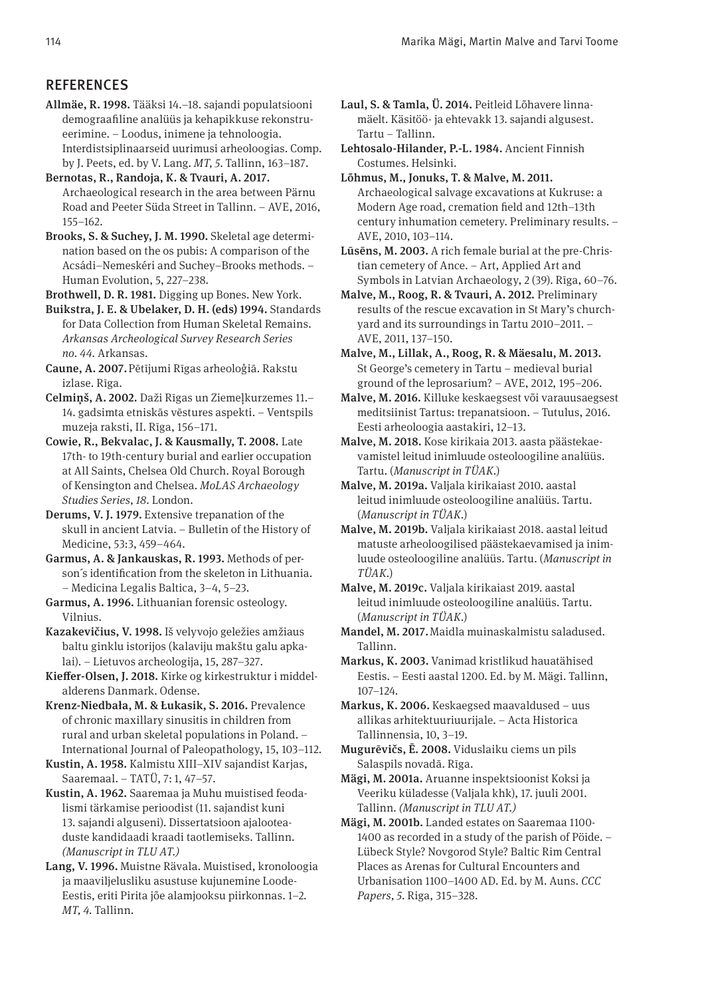#### **REFERENCES**

- Allmäe, R. 1998. Tääksi 14.–18. sajandi populatsiooni demograafline analüüs ja kehapikkuse rekonstrueerimine. – Loodus, inimene ja tehnoloogia. Interdistsiplinaarseid uurimusi arheoloogias. Comp. by J. Peets, ed. by V. Lang. *MT, 5*. Tallinn, 163–187.
- Bernotas, R., Randoja, K. & Tvauri, A. 2017. Archaeological research in the area between Pärnu Road and Peeter Süda Street in Tallinn. – AVE, 2016, 155–162.
- Brooks, S. & Suchey, J. M. 1990. Skeletal age determination based on the os pubis: A comparison of the Acsádi–Nemeskéri and Suchey–Brooks methods. – Human Evolution, 5, 227–238.

Brothwell, D. R. 1981. Digging up Bones. New York.

Buikstra, J. E. & Ubelaker, D. H. (eds) 1994. Standards for Data Collection from Human Skeletal Remains. *Arkansas Archeological Survey Research Series no. 44*. Arkansas.

Caune, A. 2007. Pētījumi Rīgas arheoloģiā. Rakstu izlase. Rīga.

Celmiņš, A. 2002. Daži Rīgas un Ziemeļkurzemes 11.– 14. gadsimta etniskās vēstures aspekti. – Ventspils muzeja raksti, II. Rīga, 156–171.

Cowie, R., Bekvalac, J. & Kausmally, T. 2008. Late 17th- to 19th-century burial and earlier occupation at All Saints, Chelsea Old Church. Royal Borough of Kensington and Chelsea. *MoLAS Archaeology Studies Series, 18*. London.

Derums, V. J. 1979. Extensive trepanation of the skull in ancient Latvia. – Bulletin of the History of Medicine, 53:3, 459–464.

Garmus, A. & Jankauskas, R. 1993. Methods of person´s identifcation from the skeleton in Lithuania. – Medicina Legalis Baltica, 3–4, 5–23.

Garmus, A. 1996. Lithuanian forensic osteology. Vilnius.

Kazakevičius, V. 1998. Iš velyvojo geležies amžiaus baltu ginklu istorijos (kalaviju makštu galu apkalai). – Lietuvos archeologija, 15, 287–327.

Kiefer-Olsen, J. 2018. Kirke og kirkestruktur i middelalderens Danmark. Odense.

Krenz-Niedbała, M. & Łukasik, S. 2016. Prevalence of chronic maxillary sinusitis in children from rural and urban skeletal populations in Poland. – International Journal of Paleopathology, 15, 103–112.

Kustin, A. 1958. Kalmistu XIII–XIV sajandist Karjas, Saaremaal. – TATÜ, 7: 1, 47–57.

Kustin, A. 1962. Saaremaa ja Muhu muistised feodalismi tärkamise perioodist (11. sajandist kuni 13. sajandi alguseni). Dissertatsioon ajalooteaduste kandidaadi kraadi taotlemiseks. Tallinn. *(Manuscript in TLU AT.)*

Lang, V. 1996. Muistne Rävala. Muistised, kronoloogia ja maaviljelusliku asustuse kujunemine Loode-Eestis, eriti Pirita jõe alamjooksu piirkonnas. 1–2. *MT, 4.* Tallinn.

Laul, S. & Tamla, Ü. 2014. Peitleid Lõhavere linnamäelt. Käsitöö- ja ehtevakk 13. sajandi algusest. Tartu – Tallinn.

Lehtosalo-Hilander, P.-L. 1984. Ancient Finnish Costumes. Helsinki.

Lõhmus, M., Jonuks, T. & Malve, M. 2011. Archaeological salvage excavations at Kukruse: a Modern Age road, cremation feld and 12th–13th century inhumation cemetery. Preliminary results. – AVE, 2010, 103−114.

Lūsēns, M. 2003. A rich female burial at the pre-Christian cemetery of Ance. – Art, Applied Art and Symbols in Latvian Archaeology, 2 (39). Rīga, 60–76.

Malve, M., Roog, R. & Tvauri, A. 2012. Preliminary results of the rescue excavation in St Mary's churchyard and its surroundings in Tartu 2010–2011. – AVE, 2011, 137–150.

Malve, M., Lillak, A., Roog, R. & Mäesalu, M. 2013. St George's cemetery in Tartu – medieval burial ground of the leprosarium? – AVE, 2012, 195–206.

Malve, M. 2016. Killuke keskaegsest või varauusaegsest meditsiinist Tartus: trepanatsioon. – Tutulus, 2016. Eesti arheoloogia aastakiri, 12–13.

Malve, M. 2018. Kose kirikaia 2013. aasta päästekaevamistel leitud inimluude osteoloogiline analüüs. Tartu. (*Manuscript in TÜAK.*)

Malve, M. 2019a. Valjala kirikaiast 2010. aastal leitud inimluude osteoloogiline analüüs. Tartu. (*Manuscript in TÜAK.*)

Malve, M. 2019b. Valjala kirikaiast 2018. aastal leitud matuste arheoloogilised päästekaevamised ja inimluude osteoloogiline analüüs. Tartu. (*Manuscript in TÜAK.*)

Malve, M. 2019c. Valjala kirikaiast 2019. aastal leitud inimluude osteoloogiline analüüs. Tartu. (*Manuscript in TÜAK.*)

Mandel, M. 2017. Maidla muinaskalmistu saladused. Tallinn.

Markus, K. 2003. Vanimad kristlikud hauatähised Eestis. – Eesti aastal 1200. Ed. by M. Mägi. Tallinn, 107–124.

Markus, K. 2006. Keskaegsed maavaldused – uus allikas arhitektuuriuurijale. – Acta Historica Tallinnensia, 10, 3–19.

Mugurēvičs, Ē. 2008. Viduslaiku ciems un pils Salaspils novadā. Rīga.

Mägi, M. 2001a. Aruanne inspektsioonist Koksi ja Veeriku küladesse (Valjala khk), 17. juuli 2001. Tallinn. *(Manuscript in TLU AT.)*

Mägi, M. 2001b. Landed estates on Saaremaa 1100- 1400 as recorded in a study of the parish of Pöide. – Lübeck Style? Novgorod Style? Baltic Rim Central Places as Arenas for Cultural Encounters and Urbanisation 1100–1400 AD. Ed. by M. Auns. *CCC Papers, 5*. Riga, 315–328.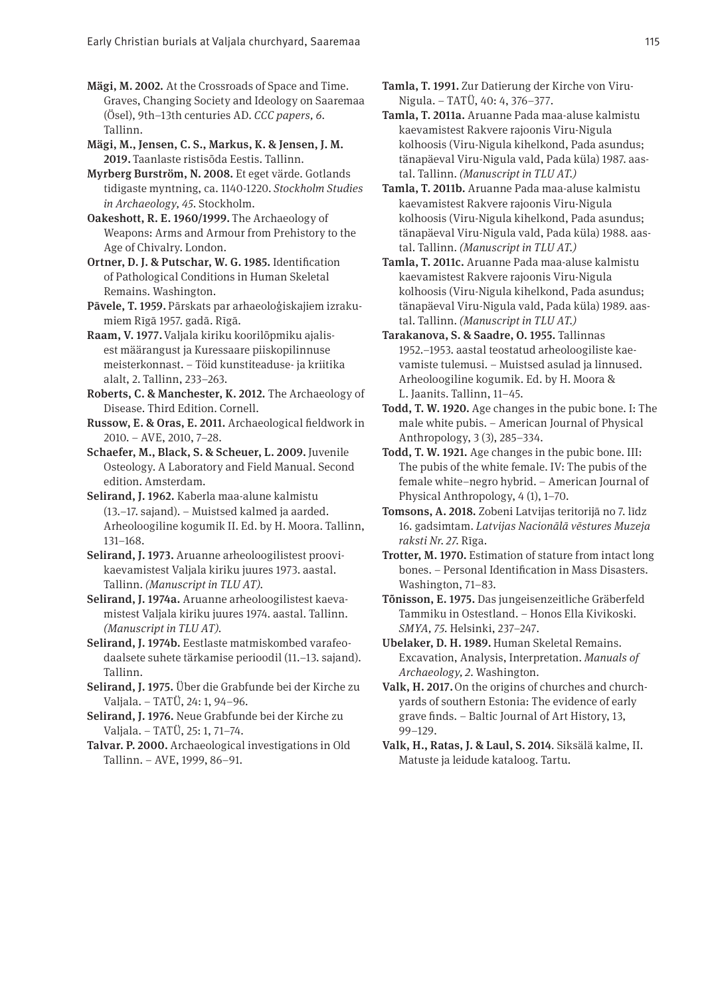Mägi, M. 2002. At the Crossroads of Space and Time. Graves, Changing Society and Ideology on Saaremaa (Ösel), 9th–13th centuries AD. *CCC papers, 6*. Tallinn.

Mägi, M., Jensen, C. S., Markus, K. & Jensen, J. M. 2019. Taanlaste ristisõda Eestis. Tallinn.

Myrberg Burström, N. 2008. Et eget värde. Gotlands tidigaste myntning, ca. 1140-1220. *Stockholm Studies in Archaeology, 45*. Stockholm.

Oakeshott, R. E. 1960/1999. The Archaeology of Weapons: Arms and Armour from Prehistory to the Age of Chivalry. London.

Ortner, D. J. & Putschar, W. G. 1985. Identifcation of Pathological Conditions in Human Skeletal Remains. Washington.

Pāvele, T. 1959. Pārskats par arhaeoloģiskajiem izrakumiem Rīgā 1957. gadā. Rīgā.

Raam, V. 1977. Valjala kiriku koorilõpmiku ajalisest määrangust ja Kuressaare piiskopilinnuse meisterkonnast. – Töid kunstiteaduse- ja kriitika alalt, 2. Tallinn, 233–263.

Roberts, C. & Manchester, K. 2012. The Archaeology of Disease. Third Edition. Cornell.

Russow, E. & Oras, E. 2011. Archaeological feldwork in 2010. – AVE, 2010, 7–28.

Schaefer, M., Black, S. & Scheuer, L. 2009. Juvenile Osteology. A Laboratory and Field Manual. Second edition. Amsterdam.

Selirand, J. 1962. Kaberla maa-alune kalmistu (13.–17. sajand). – Muistsed kalmed ja aarded. Arheoloogiline kogumik II. Ed. by H. Moora. Tallinn, 131–168.

Selirand, J. 1973. Aruanne arheoloogilistest proovikaevamistest Valjala kiriku juures 1973. aastal. Tallinn. *(Manuscript in TLU AT).*

Selirand, J. 1974a. Aruanne arheoloogilistest kaevamistest Valjala kiriku juures 1974. aastal. Tallinn. *(Manuscript in TLU AT).*

Selirand, J. 1974b. Eestlaste matmiskombed varafeodaalsete suhete tärkamise perioodil (11.–13. sajand). Tallinn.

Selirand, J. 1975. Über die Grabfunde bei der Kirche zu Valjala. – TATÜ, 24: 1, 94–96.

Selirand, J. 1976. Neue Grabfunde bei der Kirche zu Valjala. – TATÜ, 25: 1, 71–74.

Talvar. P. 2000. Archaeological investigations in Old Tallinn. – AVE, 1999, 86–91.

Tamla, T. 1991. Zur Datierung der Kirche von Viru-Nigula. – TATÜ, 40: 4, 376–377.

Tamla, T. 2011a. Aruanne Pada maa-aluse kalmistu kaevamistest Rakvere rajoonis Viru-Nigula kolhoosis (Viru-Nigula kihelkond, Pada asundus; tänapäeval Viru-Nigula vald, Pada küla) 1987. aastal. Tallinn. *(Manuscript in TLU AT.)*

Tamla, T. 2011b. Aruanne Pada maa-aluse kalmistu kaevamistest Rakvere rajoonis Viru-Nigula kolhoosis (Viru-Nigula kihelkond, Pada asundus; tänapäeval Viru-Nigula vald, Pada küla) 1988. aastal. Tallinn. *(Manuscript in TLU AT.)*

Tamla, T. 2011c. Aruanne Pada maa-aluse kalmistu kaevamistest Rakvere rajoonis Viru-Nigula kolhoosis (Viru-Nigula kihelkond, Pada asundus; tänapäeval Viru-Nigula vald, Pada küla) 1989. aastal. Tallinn. *(Manuscript in TLU AT.)*

Tarakanova, S. & Saadre, O. 1955. Tallinnas 1952.–1953. aastal teostatud arheoloogiliste kaevamiste tulemusi. – Muistsed asulad ja linnused. Arheoloogiline kogumik. Ed. by H. Moora & L. Jaanits. Tallinn, 11–45.

Todd, T. W. 1920. Age changes in the pubic bone. I: The male white pubis. – American Journal of Physical Anthropology, 3 (3), 285–334.

Todd, T. W. 1921. Age changes in the pubic bone. III: The pubis of the white female. IV: The pubis of the female white–negro hybrid. – American Journal of Physical Anthropology, 4 (1), 1–70.

Tomsons, A. 2018. Zobeni Latvijas teritorijā no 7. līdz 16. gadsimtam. *Latvijas Nacionālā vēstures Muzeja raksti Nr. 27*. Rīga.

Trotter, M. 1970. Estimation of stature from intact long bones. – Personal Identifcation in Mass Disasters. Washington, 71–83.

Tõnisson, E. 1975. Das jungeisenzeitliche Gräberfeld Tammiku in Ostestland. – Honos Ella Kivikoski. *SMYA, 75.* Helsinki, 237–247.

Ubelaker, D. H. 1989. Human Skeletal Remains. Excavation, Analysis, Interpretation. *Manuals of Archaeology, 2*. Washington.

Valk, H. 2017. On the origins of churches and churchyards of southern Estonia: The evidence of early grave fnds. – Baltic Journal of Art History, 13, 99–129.

Valk, H., Ratas, J. & Laul, S. 2014. Siksälä kalme, II. Matuste ja leidude kataloog. Tartu.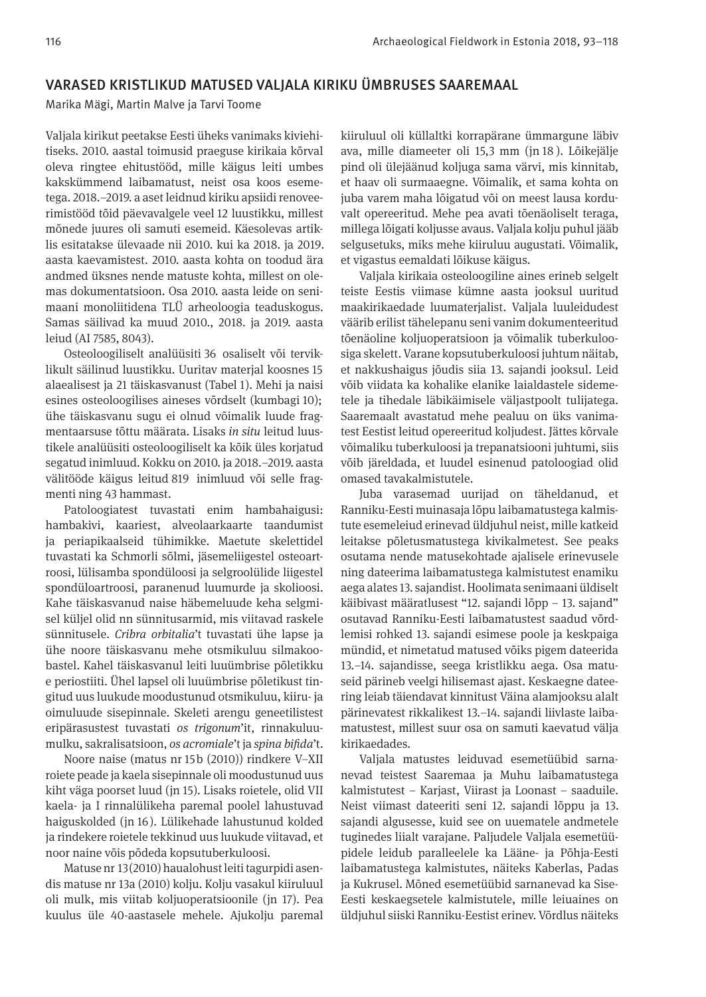#### VARASED KRISTLIKUD MATUSED VALJALA KIRIKU ÜMBRUSES SAAREMAAL

Marika Mägi, Martin Malve ja Tarvi Toome

Valjala kirikut peetakse Eesti üheks vanimaks kiviehitiseks. 2010. aastal toimusid praeguse kirikaia kõrval oleva ringtee ehitustööd, mille käigus leiti umbes kakskümmend laibamatust, neist osa koos esemetega. 2018.–2019. a aset leidnud kiriku apsiidi renoveerimistööd tõid päevavalgele veel 12 luustikku, millest mõnede juures oli samuti esemeid. Käesolevas artiklis esitatakse ülevaade nii 2010. kui ka 2018. ja 2019. aasta kaevamistest. 2010. aasta kohta on toodud ära andmed üksnes nende matuste kohta, millest on olemas dokumentatsioon. Osa 2010. aasta leide on senimaani monoliitidena TLÜ arheoloogia teaduskogus. Samas säilivad ka muud 2010., 2018. ja 2019. aasta leiud (AI 7585, 8043).

Osteoloogiliselt analüüsiti 36 osaliselt või terviklikult säilinud luustikku. Uuritav materjal koosnes 15 alaealisest ja 21 täiskasvanust (Tabel 1). Mehi ja naisi esines osteoloogilises aineses võrdselt (kumbagi 10); ühe täiskasvanu sugu ei olnud võimalik luude fragmentaarsuse tõttu määrata. Lisaks *in situ* leitud luustikele analüüsiti osteoloogiliselt ka kõik üles korjatud segatud inimluud. Kokku on 2010. ja 2018.–2019. aasta välitööde käigus leitud 819 inimluud või selle fragmenti ning 43 hammast.

Patoloogiatest tuvastati enim hambahaigusi: hambakivi, kaariest, alveolaarkaarte taandumist ja periapikaalseid tühimikke. Maetute skelettidel tuvastati ka Schmorli sõlmi, jäsemeliigestel osteoartroosi, lülisamba spondüloosi ja selgroolülide liigestel spondüloartroosi, paranenud luumurde ja skolioosi. Kahe täiskasvanud naise häbemeluude keha selgmisel küljel olid nn sünnitusarmid, mis viitavad raskele sünnitusele. *Cribra orbitalia*'t tuvastati ühe lapse ja ühe noore täiskasvanu mehe otsmikuluu silmakoobastel. Kahel täiskasvanul leiti luuümbrise põletikku e periostiiti. Ühel lapsel oli luuümbrise põletikust tingitud uus luukude moodustunud otsmikuluu, kiiru- ja oimuluude sisepinnale. Skeleti arengu geneetilistest eripärasustest tuvastati *os trigonum*'it, rinnakuluumulku, sakralisatsioon, *os acromiale*'t ja *spina bifda*'t.

Noore naise (matus nr 15b (2010)) rindkere V–XII roiete peade ja kaela sisepinnale oli moodustunud uus kiht väga poorset luud (jn 15). Lisaks roietele, olid VII kaela- ja I rinnalülikeha paremal poolel lahustuvad haiguskolded (jn 16). Lülikehade lahustunud kolded ja rindekere roietele tekkinud uus luukude viitavad, et noor naine võis põdeda kopsutuberkuloosi.

Matuse nr 13 (2010) haualohust leiti tagurpidi asendis matuse nr 13a (2010) kolju. Kolju vasakul kiiruluul oli mulk, mis viitab koljuoperatsioonile (jn 17). Pea kuulus üle 40-aastasele mehele. Ajukolju paremal

kiiruluul oli küllaltki korrapärane ümmargune läbiv ava, mille diameeter oli 15,3 mm (jn 18 ). Lõikejälje pind oli ülejäänud koljuga sama värvi, mis kinnitab, et haav oli surmaaegne. Võimalik, et sama kohta on juba varem maha lõigatud või on meest lausa korduvalt opereeritud. Mehe pea avati tõenäoliselt teraga, millega lõigati koljusse avaus. Valjala kolju puhul jääb selgusetuks, miks mehe kiiruluu augustati. Võimalik, et vigastus eemaldati lõikuse käigus.

Valjala kirikaia osteoloogiline aines erineb selgelt teiste Eestis viimase kümne aasta jooksul uuritud maakirikaedade luumaterjalist. Valjala luuleidudest väärib erilist tähelepanu seni vanim dokumenteeritud tõenäoline koljuoperatsioon ja võimalik tuberkuloosiga skelett. Varane kopsutuberkuloosi juhtum näitab, et nakkushaigus jõudis siia 13. sajandi jooksul. Leid võib viidata ka kohalike elanike laialdastele sidemetele ja tihedale läbikäimisele väljastpoolt tulijatega. Saaremaalt avastatud mehe pealuu on üks vanimatest Eestist leitud opereeritud koljudest. Jättes kõrvale võimaliku tuberkuloosi ja trepanatsiooni juhtumi, siis võib järeldada, et luudel esinenud patoloogiad olid omased tavakalmistutele.

Juba varasemad uurijad on täheldanud, et Ranniku-Eesti muinasaja lõpu laibamatustega kalmistute esemeleiud erinevad üldjuhul neist, mille katkeid leitakse põletusmatustega kivikalmetest. See peaks osutama nende matusekohtade ajalisele erinevusele ning dateerima laibamatustega kalmistutest enamiku aega alates 13. sajandist. Hoolimata senimaani üldiselt käibivast määratlusest "12. sajandi lõpp – 13. sajand" osutavad Ranniku-Eesti laibamatustest saadud võrdlemisi rohked 13. sajandi esimese poole ja keskpaiga mündid, et nimetatud matused võiks pigem dateerida 13.–14. sajandisse, seega kristlikku aega. Osa matuseid pärineb veelgi hilisemast ajast. Keskaegne dateering leiab täiendavat kinnitust Väina alamjooksu alalt pärinevatest rikkalikest 13.–14. sajandi liivlaste laibamatustest, millest suur osa on samuti kaevatud välja kirikaedades.

Valjala matustes leiduvad esemetüübid sarnanevad teistest Saaremaa ja Muhu laibamatustega kalmistutest – Karjast, Viirast ja Loonast – saaduile. Neist viimast dateeriti seni 12. sajandi lõppu ja 13. sajandi algusesse, kuid see on uuematele andmetele tuginedes liialt varajane. Paljudele Valjala esemetüüpidele leidub paralleelele ka Lääne- ja Põhja-Eesti laibamatustega kalmistutes, näiteks Kaberlas, Padas ja Kukrusel. Mõned esemetüübid sarnanevad ka Sise-Eesti keskaegsetele kalmistutele, mille leiuaines on üldjuhul siiski Ranniku-Eestist erinev. Võrdlus näiteks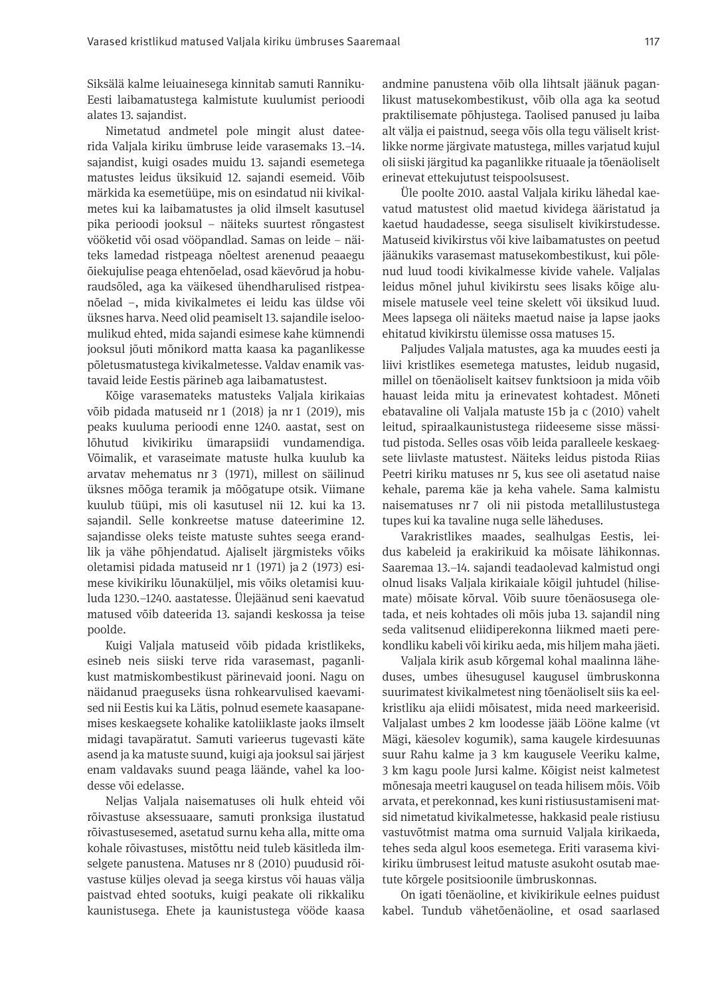Siksälä kalme leiuainesega kinnitab samuti Ranniku-Eesti laibamatustega kalmistute kuulumist perioodi alates 13. sajandist.

Nimetatud andmetel pole mingit alust dateerida Valjala kiriku ümbruse leide varasemaks 13.–14. sajandist, kuigi osades muidu 13. sajandi esemetega matustes leidus üksikuid 12. sajandi esemeid. Võib märkida ka esemetüüpe, mis on esindatud nii kivikalmetes kui ka laibamatustes ja olid ilmselt kasutusel pika perioodi jooksul – näiteks suurtest rõngastest vööketid või osad vööpandlad. Samas on leide – näiteks lamedad ristpeaga nõeltest arenenud peaaegu õiekuju lise peaga ehtenõelad, osad käevõrud ja hoburaudsõled, aga ka väikesed ühendharulised ristpeanõelad –, mida kivikalmetes ei leidu kas üldse või üksnes harva. Need olid peamiselt 13. sajandile iseloomulikud ehted, mida sajandi esimese kahe kümnendi jooksul jõuti mõnikord matta kaasa ka paganlikesse põletusmatustega kivikalmetesse. Valdav enamik vastavaid leide Eestis pärineb aga laibamatustest.

Kõige varasemateks matusteks Valjala kirikaias võib pidada matuseid nr 1 (2018) ja nr 1 (2019), mis peaks kuuluma perioodi enne 1240. aastat, sest on lõhutud kivikiriku ümarapsiidi vundamendiga. Võimalik, et varaseimate matuste hulka kuulub ka arvatav mehematus nr 3 (1971), millest on säilinud üksnes mõõga teramik ja mõõgatupe otsik. Viimane kuulub tüüpi, mis oli kasutusel nii 12. kui ka 13. sajandil. Selle konkreetse matuse dateerimine 12. sajandisse oleks teiste matuste suhtes seega erandlik ja vähe põhjendatud. Ajaliselt järgmisteks võiks oletamisi pidada matuseid nr 1 (1971) ja 2 (1973) esimese kivikiriku lõunaküljel, mis võiks oletamisi kuuluda 1230.–1240. aastatesse. Ülejäänud seni kaevatud matused võib dateerida 13. sajandi keskossa ja teise poolde.

Kuigi Valjala matuseid võib pidada kristlikeks, esineb neis siiski terve rida varasemast, paganlikust matmiskombestikust pärinevaid jooni. Nagu on näidanud praeguseks üsna rohkearvulised kaevamised nii Eestis kui ka Lätis, polnud esemete kaasapanemises keskaegsete kohalike katoliiklaste jaoks ilmselt midagi tavapäratut. Samuti varieerus tugevasti käte asend ja ka matuste suund, kuigi aja jooksul sai järjest enam valdavaks suund peaga läände, vahel ka loodesse või edelasse.

Neljas Valjala naisematuses oli hulk ehteid või rõivastuse aksessuaare, samuti pronksiga ilustatud rõivastusesemed, asetatud surnu keha alla, mitte oma kohale rõivastuses, mistõttu neid tuleb käsitleda ilmselgete panustena. Matuses nr 8 (2010) puudusid rõivastuse küljes olevad ja seega kirstus või hauas välja paistvad ehted sootuks, kuigi peakate oli rikkaliku kaunistusega. Ehete ja kaunistustega vööde kaasa andmine panustena võib olla lihtsalt jäänuk paganlikust matusekombestikust, võib olla aga ka seotud praktilisemate põhjustega. Taolised panused ju laiba alt välja ei paistnud, seega võis olla tegu väliselt kristlikke norme järgivate matustega, milles varjatud kujul oli siiski järgitud ka paganlikke rituaale ja tõenäoliselt erinevat ettekujutust teispoolsusest.

Üle poolte 2010. aastal Valjala kiriku lähedal kaevatud matustest olid maetud kividega ääristatud ja kaetud haudadesse, seega sisuliselt kivikirstudesse. Matuseid kivikirstus või kive laibamatustes on peetud jäänukiks varasemast matusekombestikust, kui põlenud luud toodi kivikalmesse kivide vahele. Valjalas leidus mõnel juhul kivikirstu sees lisaks kõige alumisele matusele veel teine skelett või üksikud luud. Mees lapsega oli näiteks maetud naise ja lapse jaoks ehitatud kivikirstu ülemisse ossa matuses 15.

Paljudes Valjala matustes, aga ka muudes eesti ja liivi kristlikes esemetega matustes, leidub nugasid, millel on tõenäoliselt kaitsev funktsioon ja mida võib hauast leida mitu ja erinevatest kohtadest. Mõneti ebatavaline oli Valjala matuste 15b ja c (2010) vahelt leitud, spiraalkaunistustega riideeseme sisse mässitud pistoda. Selles osas võib leida paralleele keskaegsete liivlaste matustest. Näiteks leidus pistoda Riias Peetri kiriku matuses nr 5, kus see oli asetatud naise kehale, parema käe ja keha vahele. Sama kalmistu naisematuses nr 7 oli nii pistoda metallilustustega tupes kui ka tavaline nuga selle läheduses.

Varakristlikes maades, sealhulgas Eestis, leidus kabeleid ja erakirikuid ka mõisate lähikonnas. Saaremaa 13.–14. sajandi teadaolevad kalmistud ongi olnud lisaks Valjala kirikaiale kõigil juhtudel (hilisemate) mõisate kõrval. Võib suure tõenäosusega oletada, et neis kohtades oli mõis juba 13. sajandil ning seda valitsenud eliidiperekonna liikmed maeti perekondliku kabeli või kiriku aeda, mis hiljem maha jäeti.

Valjala kirik asub kõrgemal kohal maalinna läheduses, umbes ühesugusel kaugusel ümbruskonna suurimatest kivikalmetest ning tõenäoliselt siis ka eelkristliku aja eliidi mõisatest, mida need markeerisid. Valjalast umbes 2 km loodesse jääb Lööne kalme (vt Mägi, käesolev kogumik), sama kaugele kirdesuunas suur Rahu kalme ja 3 km kaugusele Veeriku kalme, 3 km kagu poole Jursi kalme. Kõigist neist kalmetest mõnesaja meetri kaugusel on teada hilisem mõis. Võib arvata, et perekonnad, kes kuni ristiusustamiseni matsid nimetatud kivikalmetesse, hakkasid peale ristiusu vastuvõtmist matma oma surnuid Valjala kirikaeda, tehes seda algul koos esemetega. Eriti varasema kivikiriku ümbrusest leitud matuste asukoht osutab maetute kõrgele positsioonile ümbruskonnas.

On igati tõenäoline, et kivikirikule eelnes puidust kabel. Tundub vähetõenäoline, et osad saarlased